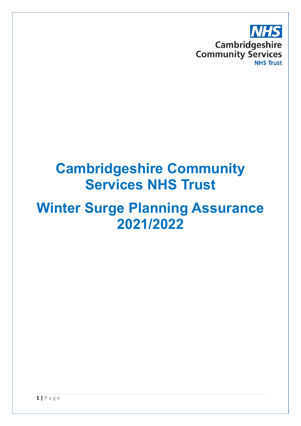

## **Cambridgeshire Community Services NHS Trust**

## **Winter Surge Planning Assurance 2021/2022**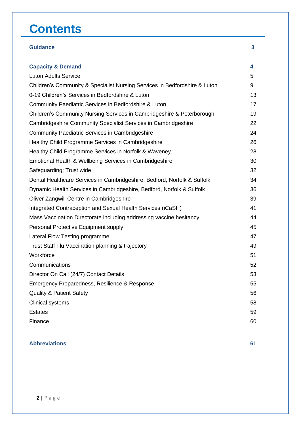## **Contents**

| 4  |
|----|
| 5  |
| 9  |
| 13 |
| 17 |
| 19 |
| 22 |
| 24 |
| 26 |
| 28 |
| 30 |
| 32 |
| 34 |
| 36 |
| 39 |
| 41 |
| 44 |
| 45 |
| 47 |
| 49 |
| 51 |
| 52 |
| 53 |
| 55 |
| 56 |
| 58 |
| 59 |
| 60 |
|    |

**Guidance 3**

#### **Abbreviations 61**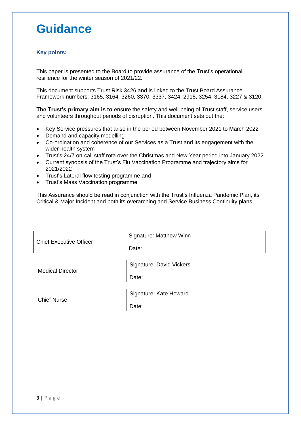## **Guidance**

#### **Key points:**

This paper is presented to the Board to provide assurance of the Trust's operational resilience for the winter season of 2021/22.

This document supports Trust Risk 3426 and is linked to the Trust Board Assurance Framework numbers: 3165, 3164, 3260, 3370, 3337, 3424, 2915, 3254, 3184, 3227 & 3120.

**The Trust's primary aim is to** ensure the safety and well-being of Trust staff, service users and volunteers throughout periods of disruption. This document sets out the:

- Key Service pressures that arise in the period between November 2021 to March 2022
- Demand and capacity modelling
- Co-ordination and coherence of our Services as a Trust and its engagement with the wider health system
- Trust's 24/7 on-call staff rota over the Christmas and New Year period into January 2022
- Current synopsis of the Trust's Flu Vaccination Programme and trajectory aims for 2021/2022
- Trust's Lateral flow testing programme and
- Trust's Mass Vaccination programme

This Assurance should be read in conjunction with the Trust's Influenza Pandemic Plan, its Critical & Major Incident and both its overarching and Service Business Continuity plans.

| <b>Chief Executive Officer</b> | Signature: Matthew Winn |
|--------------------------------|-------------------------|
|                                | Date:                   |

| <b>Medical Director</b> | Signature: David Vickers |
|-------------------------|--------------------------|
|                         | Date:                    |

|                    | Signature: Kate Howard |
|--------------------|------------------------|
| <b>Chief Nurse</b> | Date:                  |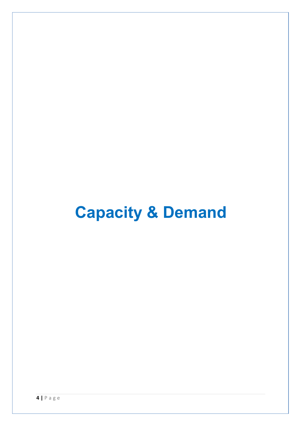# **Capacity & Demand**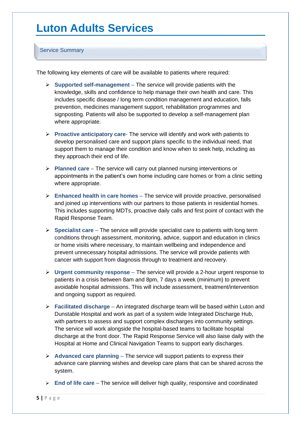## **Luton Adults Services**

#### Service Summary

The following key elements of care will be available to patients where required:

- ➢ **Supported self-management** The service will provide patients with the knowledge, skills and confidence to help manage their own health and care. This includes specific disease / long term condition management and education, falls prevention, medicines management support, rehabilitation programmes and signposting. Patients will also be supported to develop a self-management plan where appropriate.
- ➢ **Proactive anticipatory care** The service will identify and work with patients to develop personalised care and support plans specific to the individual need, that support them to manage their condition and know when to seek help, including as they approach their end of life.
- ➢ **Planned care** The service will carry out planned nursing interventions or appointments in the patient's own home including care homes or from a clinic setting where appropriate.
- ➢ **Enhanced health in care homes** The service will provide proactive, personalised and joined up interventions with our partners to those patients in residential homes. This includes supporting MDTs, proactive daily calls and first point of contact with the Rapid Response Team.
- ➢ **Specialist care** The service will provide specialist care to patients with long term conditions through assessment, monitoring, advice, support and education in clinics or home visits where necessary, to maintain wellbeing and independence and prevent unnecessary hospital admissions. The service will provide patients with cancer with support from diagnosis through to treatment and recovery.
- ➢ **Urgent community response** The service will provide a 2-hour urgent response to patients in a crisis between 8am and 8pm, 7 days a week (minimum) to prevent avoidable hospital admissions. This will include assessment, treatment/intervention and ongoing support as required.
- ➢ **Facilitated discharge** An integrated discharge team will be based within Luton and Dunstable Hospital and work as part of a system wide Integrated Discharge Hub, with partners to assess and support complex discharges into community settings. The service will work alongside the hospital-based teams to facilitate hospital discharge at the front door. The Rapid Response Service will also liaise daily with the Hospital at Home and Clinical Navigation Teams to support early discharges.
- ➢ **Advanced care planning** The service will support patients to express their advance care planning wishes and develop care plans that can be shared across the system.
- ➢ **End of life care** The service will deliver high quality, responsive and coordinated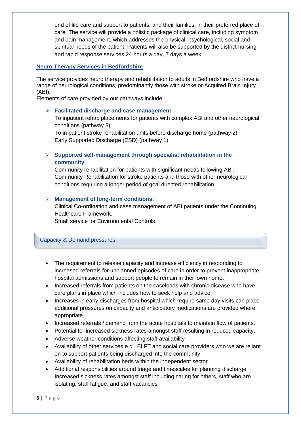end of life care and support to patients, and their families, in their preferred place of care. The service will provide a holistic package of clinical care, including symptom and pain management, which addresses the physical, psychological, social and spiritual needs of the patient. Patients will also be supported by the district nursing and rapid response services 24 hours a day, 7 days a week.

#### **Neuro Therapy Services in Bedfordshire**

The service provides neuro therapy and rehabilitation to adults in Bedfordshire who have a range of neurological conditions, predominantly those with stroke or Acquired Brain Injury (ABI).

Elements of care provided by our pathways include:

#### ➢ **Facilitated discharge and case management**:

To inpatient rehab placements for patients with complex ABI and other neurological conditions (pathway 3)

To in patient stroke rehabilitation units before discharge home (pathway 2) Early Supported Discharge (ESD) (pathway 1)

#### ➢ **Supported self-management through specialist rehabilitation in the community**:

Community rehabilitation for patients with significant needs following ABI. Community Rehabilitation for stroke patients and those with other neurological conditions requiring a longer period of goal directed rehabilitation.

#### ➢ **Management of long-term conditions:**

Clinical Co-ordination and case management of ABI patients under the Continuing Healthcare Framework.

Small service for Environmental Controls.

#### Capacity & Demand pressures

- The requirement to release capacity and increase efficiency in responding to increased referrals for unplanned episodes of care in order to prevent inappropriate hospital admissions and support people to remain in their own home.
- Increased referrals from patients on the caseloads with chronic disease who have care plans in place which includes how to seek help and advice.
- Increases in early discharges from hospital which require same day visits can place additional pressures on capacity and anticipatory medications are provided where appropriate
- Increased referrals / demand from the acute hospitals to maintain flow of patients.
- Potential for increased sickness rates amongst staff resulting in reduced capacity.
- Adverse weather conditions affecting staff availability
- Availability of other services e.g., ELFT and social care providers who we are reliant on to support patients being discharged into the community
- Availability of rehabilitation beds within the independent sector
- Additional responsibilities around triage and timescales for planning discharge Increased sickness rates amongst staff including caring for others, staff who are isolating, staff fatigue, and staff vacancies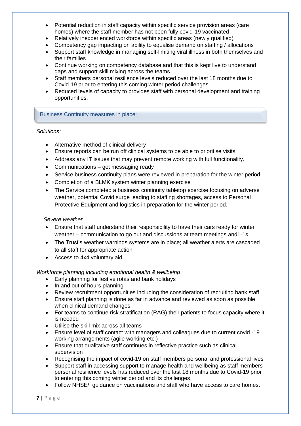- Potential reduction in staff capacity within specific service provision areas (care homes) where the staff member has not been fully covid-19 vaccinated
- Relatively inexperienced workforce within specific areas (newly qualified)
- Competency gap impacting on ability to equalise demand on staffing / allocations
- Support staff knowledge in managing self-limiting viral illness in both themselves and their families
- Continue working on competency database and that this is kept live to understand gaps and support skill mixing across the teams
- Staff members personal resilience levels reduced over the last 18 months due to Covid-19 prior to entering this coming winter period challenges
- Reduced levels of capacity to provides staff with personal development and training opportunities.

Business Continuity measures in place:

#### *Solutions:*

- Alternative method of clinical delivery
- Ensure reports can be run off clinical systems to be able to prioritise visits
- Address any IT issues that may prevent remote working with full functionality.
- Communications get messaging ready
- Service business continuity plans were reviewed in preparation for the winter period
- Completion of a BLMK system winter planning exercise
- The Service completed a business continuity tabletop exercise focusing on adverse weather, potential Covid surge leading to staffing shortages, access to Personal Protective Equipment and logistics in preparation for the winter period.

#### *Severe weather*

- Ensure that staff understand their responsibility to have their cars ready for winter weather – communication to go out and discussions at team meetings and1-1s
- The Trust's weather warnings systems are in place; all weather alerts are cascaded to all staff for appropriate action
- Access to 4x4 voluntary aid.

#### *Workforce planning including emotional health & wellbeing*

- Early planning for festive rotas and bank holidays
- In and out of hours planning
- Review recruitment opportunities including the consideration of recruiting bank staff
- Ensure staff planning is done as far in advance and reviewed as soon as possible when clinical demand changes.
- For teams to continue risk stratification (RAG) their patients to focus capacity where it is needed
- Utilise the skill mix across all teams
- Ensure level of staff contact with managers and colleagues due to current covid -19 working arrangements (agile working etc.)
- Ensure that qualitative staff continues in reflective practice such as clinical supervision
- Recognising the impact of covid-19 on staff members personal and professional lives
- Support staff in accessing support to manage health and wellbeing as staff members personal resilience levels has reduced over the last 18 months due to Covid-19 prior to entering this coming winter period and its challenges
- Follow NHSE/I guidance on vaccinations and staff who have access to care homes.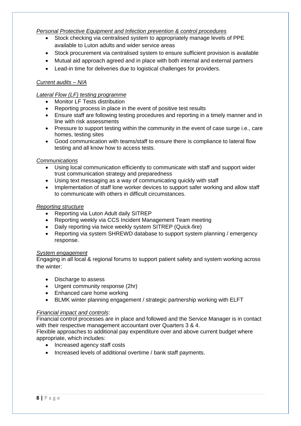#### *Personal Protective Equipment and Infection prevention & control procedures*

- Stock checking via centralised system to appropriately manage levels of PPE available to Luton adults and wider service areas
- Stock procurement via centralised system to ensure sufficient provision is available
- Mutual aid approach agreed and in place with both internal and external partners
- Lead-in time for deliveries due to logistical challenges for providers.

#### *Current audits – N/A*

#### *Lateral Flow (LF) testing programme*

- Monitor LF Tests distribution
- Reporting process in place in the event of positive test results
- Ensure staff are following testing procedures and reporting in a timely manner and in line with risk assessments
- Pressure to support testing within the community in the event of case surge i.e., care homes, testing sites
- Good communication with teams/staff to ensure there is compliance to lateral flow testing and all know how to access tests.

#### *Communications*

- Using local communication efficiently to communicate with staff and support wider trust communication strategy and preparedness
- Using text messaging as a way of communicating quickly with staff
- Implementation of staff lone worker devices to support safer working and allow staff to communicate with others in difficult circumstances.

#### *Reporting structure*

- Reporting via Luton Adult daily SITREP
- Reporting weekly via CCS Incident Management Team meeting
- Daily reporting via twice weekly system SITREP (Quick-fire)
- Reporting via system SHREWD database to support system planning / emergency response.

#### *System engagement*

Engaging in all local & regional forums to support patient safety and system working across the winter:

- Discharge to assess
- Urgent community response (2hr)
- Enhanced care home working
- BLMK winter planning engagement / strategic partnership working with ELFT

#### *Financial impact and controls*:

Financial control processes are in place and followed and the Service Manager is in contact with their respective management accountant over Quarters 3 & 4.

Flexible approaches to additional pay expenditure over and above current budget where appropriate, which includes:

- Increased agency staff costs
- Increased levels of additional overtime / bank staff payments.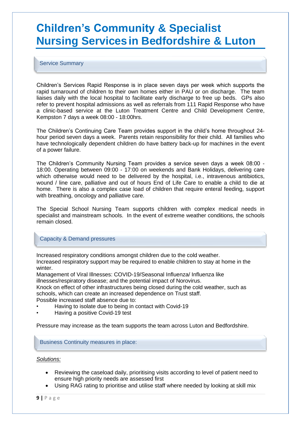## **Children's Community & Specialist Nursing Servicesin Bedfordshire & Luton**

Service Summary

ļ

• Children's Services Rapid Response is in place seven days per week which supports the rapid turnaround of children to their own homes either in PAU or on discharge. The team liaises daily with the local hospital to facilitate early discharge to free up beds. GPs also refer to prevent hospital admissions as well as referrals from 111 Rapid Response who have a clinic-based service at the Luton Treatment Centre and Child Development Centre, Kempston 7 days a week 08:00 - 18:00hrs.

• The Children's Continuing Care Team provides support in the child's home throughout 24 hour period seven days a week. Parents retain responsibility for their child. All families who have technologically dependent children do have battery back-up for machines in the event of a power failure.

• The Children's Community Nursing Team provides a service seven days a week 08:00 - 18:00. Operating between 09:00 - 17:00 on weekends and Bank Holidays, delivering care which otherwise would need to be delivered by the hospital, i.e., intravenous antibiotics, wound / line care, palliative and out of hours End of Life Care to enable a child to die at home. There is also a complex case load of children that require enteral feeding, support with breathing, oncology and palliative care.

• The Special School Nursing Team supports children with complex medical needs in specialist and mainstream schools. In the event of extreme weather conditions, the schools remain closed.

#### Capacity & Demand pressures

Increased respiratory conditions amongst children due to the cold weather. Increased respiratory support may be required to enable children to stay at home in the winter.

Management of Viral Illnesses: COVID-19/Seasonal Influenza/ Influenza like illnesses/respiratory disease; and the potential impact of Norovirus.

Knock on effect of other infrastructures being closed during the cold weather, such as schools, which can create an increased dependence on Trust staff.

Possible increased staff absence due to:

- Having to isolate due to being in contact with Covid-19
- Having a positive Covid-19 test

Pressure may increase as the team supports the team across Luton and Bedfordshire.

#### Business Continuity measures in place:

#### *Solutions:*

- Reviewing the caseload daily, prioritising visits according to level of patient need to ensure high priority needs are assessed first
- Using RAG rating to prioritise and utilise staff where needed by looking at skill mix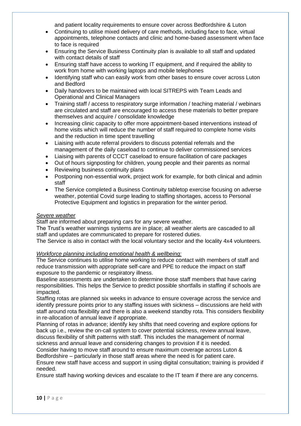and patient locality requirements to ensure cover across Bedfordshire & Luton

- Continuing to utilise mixed delivery of care methods, including face to face, virtual appointments, telephone contacts and clinic and home-based assessment when face to face is required
- Ensuring the Service Business Continuity plan is available to all staff and updated with contact details of staff
- Ensuring staff have access to working IT equipment, and if required the ability to work from home with working laptops and mobile telephones
- Identifying staff who can easily work from other bases to ensure cover across Luton and Bedford
- Daily handovers to be maintained with local SITREPS with Team Leads and Operational and Clinical Managers
- Training staff / access to respiratory surge information / teaching material / webinars are circulated and staff are encouraged to access these materials to better prepare themselves and acquire / consolidate knowledge
- Increasing clinic capacity to offer more appointment-based interventions instead of home visits which will reduce the number of staff required to complete home visits and the reduction in time spent travelling
- Liaising with acute referral providers to discuss potential referrals and the management of the daily caseload to continue to deliver commissioned services
- Liaising with parents of CCCT caseload to ensure facilitation of care packages
- Out of hours signposting for children, young people and their parents as normal
- Reviewing business continuity plans
- Postponing non-essential work, project work for example, for both clinical and admin staff
- The Service completed a Business Continuity tabletop exercise focusing on adverse weather, potential Covid surge leading to staffing shortages, access to Personal Protective Equipment and logistics in preparation for the winter period.

#### *Severe weather*

Staff are informed about preparing cars for any severe weather.

The Trust's weather warnings systems are in place; all weather alerts are cascaded to all staff and updates are communicated to prepare for rostered duties.

The Service is also in contact with the local voluntary sector and the locality 4x4 volunteers.

#### *Workforce planning including emotional health & wellbeing:*

The Service continues to utilise home working to reduce contact with members of staff and reduce transmission with appropriate self-care and PPE to reduce the impact on staff exposure to the pandemic or respiratory illness.

Baseline assessments are undertaken to determine those staff members that have caring responsibilities. This helps the Service to predict possible shortfalls in staffing if schools are impacted.

Staffing rotas are planned six weeks in advance to ensure coverage across the service and identify pressure points prior to any staffing issues with sickness – discussions are held with staff around rota flexibility and there is also a weekend standby rota. This considers flexibility in re-allocation of annual leave if appropriate.

Planning of rotas in advance; identify key shifts that need covering and explore options for back up i.e., review the on-call system to cover potential sickness, review annual leave, discuss flexibility of shift patterns with staff. This includes the management of normal

sickness and annual leave and considering changes to provision if it is needed.

Consider having to move staff around to ensure maximum coverage across Luton & Bedfordshire – particularly in those staff areas where the need is for patient care.

Ensure new staff have access and support in using digital consultation; training is provided if needed.

Ensure staff having working devices and escalate to the IT team if there are any concerns.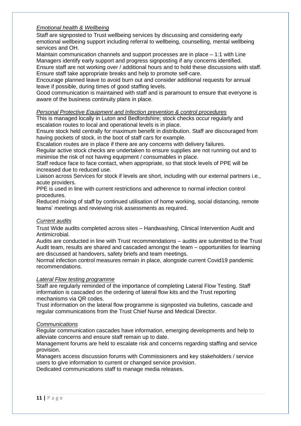#### *Emotional health & Wellbeing*

Staff are signposted to Trust wellbeing services by discussing and considering early emotional wellbeing support including referral to wellbeing, counselling, mental wellbeing services and OH.

Maintain communication channels and support processes are in place – 1:1 with Line Managers identify early support and progress signposting if any concerns identified. Ensure staff are not working over / additional hours and to hold these discussions with staff. Ensure staff take appropriate breaks and help to promote self-care.

Encourage planned leave to avoid burn out and consider additional requests for annual leave if possible, during times of good staffing levels.

Good communication is maintained with staff and is paramount to ensure that everyone is aware of the business continuity plans in place.

#### *Personal Protective Equipment and Infection prevention & control procedures*

This is managed locally in Luton and Bedfordshire; stock checks occur regularly and escalation routes to local and operational levels is in place.

Ensure stock held centrally for maximum benefit in distribution. Staff are discouraged from having pockets of stock, in the boot of staff cars for example.

Escalation routes are in place if there are any concerns with delivery failures.

Regular active stock checks are undertaken to ensure supplies are not running out and to minimise the risk of not having equipment / consumables in place.

Staff reduce face to face contact, when appropriate, so that stock levels of PPE will be increased due to reduced use.

Liaison across Services for stock if levels are short, including with our external partners i.e., acute providers.

PPE is used in line with current restrictions and adherence to normal infection control procedures.

Reduced mixing of staff by continued utilisation of home working, social distancing, remote teams' meetings and reviewing risk assessments as required.

#### *Current audits*

Trust Wide audits completed across sites – Handwashing, Clinical Intervention Audit and Antimicrobial.

Audits are conducted in line with Trust recommendations – audits are submitted to the Trust Audit team, results are shared and cascaded amongst the team – opportunities for learning are discussed at handovers, safety briefs and team meetings.

Normal infection control measures remain in place, alongside current Covid19 pandemic recommendations.

#### *Lateral Flow testing programme*

Staff are regularly reminded of the importance of completing Lateral Flow Testing. Staff information is cascaded on the ordering of lateral flow kits and the Trust reporting mechanisms via QR codes.

Trust information on the lateral flow programme is signposted via bulletins, cascade and regular communications from the Trust Chief Nurse and Medical Director.

#### *Communications*

Regular communication cascades have information, emerging developments and help to alleviate concerns and ensure staff remain up to date.

Management forums are held to escalate risk and concerns regarding staffing and service provision.

Managers access discussion forums with Commissioners and key stakeholders / service users to give information to current or changed service provision.

Dedicated communications staff to manage media releases.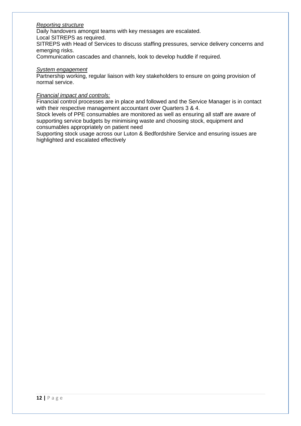#### *Reporting structure*

Daily handovers amongst teams with key messages are escalated.

Local SITREPS as required.

SITREPS with Head of Services to discuss staffing pressures, service delivery concerns and emerging risks.

Communication cascades and channels, look to develop huddle if required.

#### *System engagement*

Partnership working, regular liaison with key stakeholders to ensure on going provision of normal service.

#### *Financial impact and controls:*

Financial control processes are in place and followed and the Service Manager is in contact with their respective management accountant over Quarters 3 & 4.

Stock levels of PPE consumables are monitored as well as ensuring all staff are aware of supporting service budgets by minimising waste and choosing stock, equipment and consumables appropriately on patient need

Supporting stock usage across our Luton & Bedfordshire Service and ensuring issues are highlighted and escalated effectively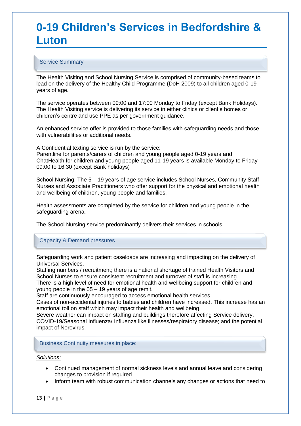## **0-19 Children's Services in Bedfordshire & Luton**

#### Service Summary

The Health Visiting and School Nursing Service is comprised of community-based teams to lead on the delivery of the Healthy Child Programme (DoH 2009) to all children aged 0-19 years of age.

The service operates between 09:00 and 17:00 Monday to Friday (except Bank Holidays). The Health Visiting service is delivering its service in either clinics or client's homes or children's centre and use PPE as per government guidance.

An enhanced service offer is provided to those families with safeguarding needs and those with vulnerabilities or additional needs.

A Confidential texting service is run by the service:

Parentline for parents/carers of children and young people aged 0-19 years and ChatHealth for children and young people aged 11-19 years is available Monday to Friday 09:00 to 16:30 (except Bank holidays)

School Nursing: The 5 – 19 years of age service includes School Nurses, Community Staff Nurses and Associate Practitioners who offer support for the physical and emotional health and wellbeing of children, young people and families.

Health assessments are completed by the service for children and young people in the safeguarding arena.

The School Nursing service predominantly delivers their services in schools.

#### Capacity & Demand pressures

Safeguarding work and patient caseloads are increasing and impacting on the delivery of Universal Services.

Staffing numbers / recruitment; there is a national shortage of trained Health Visitors and School Nurses to ensure consistent recruitment and turnover of staff is increasing.

There is a high level of need for emotional health and wellbeing support for children and young people in the 05 – 19 years of age remit.

Staff are continuously encouraged to access emotional health services.

Cases of non-accidental injuries to babies and children have increased. This increase has an emotional toll on staff which may impact their health and wellbeing.

Severe weather can impact on staffing and buildings therefore affecting Service delivery. COVID-19/Seasonal Influenza/ Influenza like illnesses/respiratory disease; and the potential impact of Norovirus.

#### Business Continuity measures in place:

#### *Solutions:*

- Continued management of normal sickness levels and annual leave and considering changes to provision if required
- Inform team with robust communication channels any changes or actions that need to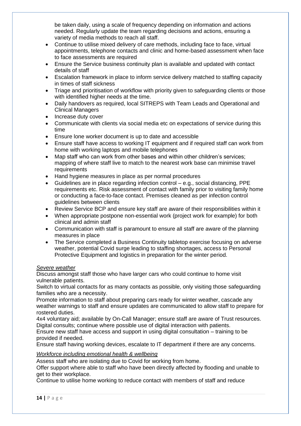be taken daily, using a scale of frequency depending on information and actions needed. Regularly update the team regarding decisions and actions, ensuring a variety of media methods to reach all staff.

- Continue to utilise mixed delivery of care methods, including face to face, virtual appointments, telephone contacts and clinic and home-based assessment when face to face assessments are required
- Ensure the Service business continuity plan is available and updated with contact details of staff
- Escalation framework in place to inform service delivery matched to staffing capacity in times of staff sickness
- Triage and prioritisation of workflow with priority given to safeguarding clients or those with identified higher needs at the time.
- Daily handovers as required, local SITREPS with Team Leads and Operational and Clinical Managers
- Increase duty cover
- Communicate with clients via social media etc on expectations of service during this time
- Ensure lone worker document is up to date and accessible
- Ensure staff have access to working IT equipment and if required staff can work from home with working laptops and mobile telephones
- Map staff who can work from other bases and within other children's services; mapping of where staff live to match to the nearest work base can minimise travel requirements
- Hand hygiene measures in place as per normal procedures
- Guidelines are in place regarding infection control e.g., social distancing, PPE requirements etc. Risk assessment of contact with family prior to visiting family home or conducting a face-to-face contact. Premises cleaned as per infection control guidelines between clients
- Review Service BCP and ensure key staff are aware of their responsibilities within it
- When appropriate postpone non-essential work (project work for example) for both clinical and admin staff
- Communication with staff is paramount to ensure all staff are aware of the planning measures in place
- The Service completed a Business Continuity tabletop exercise focusing on adverse weather, potential Covid surge leading to staffing shortages, access to Personal Protective Equipment and logistics in preparation for the winter period.

#### *Severe weather*

Discuss amongst staff those who have larger cars who could continue to home visit vulnerable patients.

Switch to virtual contacts for as many contacts as possible, only visiting those safeguarding families who are a necessity.

Promote information to staff about preparing cars ready for winter weather, cascade any weather warnings to staff and ensure updates are communicated to allow staff to prepare for rostered duties.

4x4 voluntary aid; available by On-Call Manager; ensure staff are aware of Trust resources. Digital consults; continue where possible use of digital interaction with patients.

Ensure new staff have access and support in using digital consultation – training to be provided if needed.

Ensure staff having working devices, escalate to IT department if there are any concerns.

#### *Workforce including emotional health & wellbeing*

Assess staff who are isolating due to Covid for working from home.

Offer support where able to staff who have been directly affected by flooding and unable to get to their workplace.

Continue to utilise home working to reduce contact with members of staff and reduce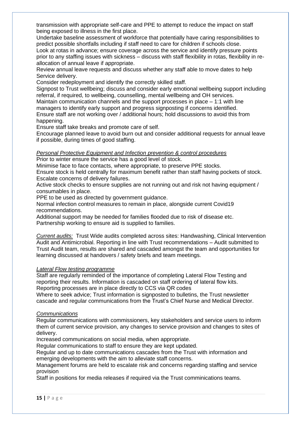transmission with appropriate self-care and PPE to attempt to reduce the impact on staff being exposed to illness in the first place.

Undertake baseline assessment of workforce that potentially have caring responsibilities to predict possible shortfalls including if staff need to care for children if schools close.

Look at rotas in advance; ensure coverage across the service and identify pressure points prior to any staffing issues with sickness – discuss with staff flexibility in rotas, flexibility in reallocation of annual leave if appropriate.

Review annual leave requests and discuss whether any staff able to move dates to help Service delivery.

Consider redeployment and identify the correctly skilled staff.

Signpost to Trust wellbeing; discuss and consider early emotional wellbeing support including referral, if required, to wellbeing, counselling, mental wellbeing and OH services.

Maintain communication channels and the support processes in place – 1:1 with line managers to identify early support and progress signposting if concerns identified.

Ensure staff are not working over / additional hours; hold discussions to avoid this from happening.

Ensure staff take breaks and promote care of self.

Encourage planned leave to avoid burn out and consider additional requests for annual leave if possible, during times of good staffing.

#### *Personal Protective Equipment and Infection prevention & control procedures*

Prior to winter ensure the service has a good level of stock.

Minimise face to face contacts, where appropriate, to preserve PPE stocks.

Ensure stock is held centrally for maximum benefit rather than staff having pockets of stock. Escalate concerns of delivery failures.

Active stock checks to ensure supplies are not running out and risk not having equipment / consumables in place.

PPE to be used as directed by government guidance.

Normal infection control measures to remain in place, alongside current Covid19 recommendations.

Additional support may be needed for families flooded due to risk of disease etc. Partnership working to ensure aid is supplied to families.

*Current audits:* Trust Wide audits completed across sites: Handwashing, Clinical Intervention Audit and Antimicrobial. Reporting in line with Trust recommendations – Audit submitted to Trust Audit team, results are shared and cascaded amongst the team and opportunities for learning discussed at handovers / safety briefs and team meetings.

#### *Lateral Flow testing programme*

Staff are regularly reminded of the importance of completing Lateral Flow Testing and reporting their results. Information is cascaded on staff ordering of lateral flow kits. Reporting processes are in place directly to CCS via QR codes

Where to seek advice; Trust information is signposted to bulletins, the Trust newsletter cascade and regular communications from the Trust's Chief Nurse and Medical Director.

#### *Communications*

Regular communications with commissioners, key stakeholders and service users to inform them of current service provision, any changes to service provision and changes to sites of delivery.

Increased communications on social media, when appropriate.

Regular communications to staff to ensure they are kept updated.

Regular and up to date communications cascades from the Trust with information and emerging developments with the aim to alleviate staff concerns.

Management forums are held to escalate risk and concerns regarding staffing and service provision

Staff in positions for media releases if required via the Trust comminications teams.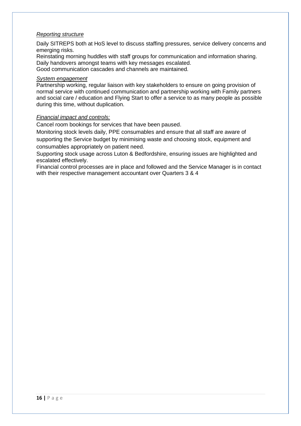#### *Reporting structure*

Daily SITREPS both at HoS level to discuss staffing pressures, service delivery concerns and emerging risks.

Reinstating morning huddles with staff groups for communication and information sharing. Daily handovers amongst teams with key messages escalated.

Good communication cascades and channels are maintained.

#### *System engagement*

Partnership working, regular liaison with key stakeholders to ensure on going provision of normal service with continued communication and partnership working with Family partners and social care / education and Flying Start to offer a service to as many people as possible during this time, without duplication.

#### *Financial impact and controls:*

Cancel room bookings for services that have been paused.

Monitoring stock levels daily, PPE consumables and ensure that all staff are aware of supporting the Service budget by minimising waste and choosing stock, equipment and consumables appropriately on patient need.

Supporting stock usage across Luton & Bedfordshire, ensuring issues are highlighted and escalated effectively.

Financial control processes are in place and followed and the Service Manager is in contact with their respective management accountant over Quarters 3 & 4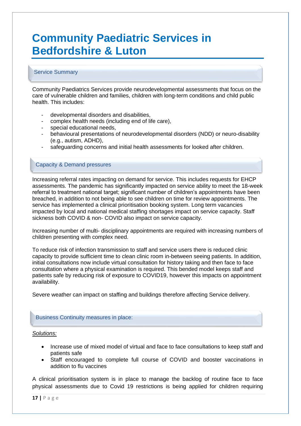## **Community Paediatric Services in Bedfordshire & Luton**

#### Service Summary

Community Paediatrics Services provide neurodevelopmental assessments that focus on the care of vulnerable children and families, children with long-term conditions and child public health. This includes:

- developmental disorders and disabilities.
- complex health needs (including end of life care),
- special educational needs,
- behavioural presentations of neurodevelopmental disorders (NDD) or neuro-disability (e.g., autism, ADHD),
- safeguarding concerns and initial health assessments for looked after children.

#### Capacity & Demand pressures

Increasing referral rates impacting on demand for service. This includes requests for EHCP assessments. The pandemic has significantly impacted on service ability to meet the 18-week referral to treatment national target; significant number of children's appointments have been breached, in addition to not being able to see children on time for review appointments. The service has implemented a clinical prioritisation booking system. Long term vacancies impacted by local and national medical staffing shortages impact on service capacity. Staff sickness both COVID & non- COVID also impact on service capacity.

Increasing number of multi- disciplinary appointments are required with increasing numbers of children presenting with complex need.

To reduce risk of infection transmission to staff and service users there is reduced clinic capacity to provide sufficient time to clean clinic room in-between seeing patients. In addition, initial consultations now include virtual consultation for history taking and then face to face consultation where a physical examination is required. This bended model keeps staff and patients safe by reducing risk of exposure to COVID19, however this impacts on appointment availability.

Severe weather can impact on staffing and buildings therefore affecting Service delivery.

#### Business Continuity measures in place:

#### *Solutions:*

- Increase use of mixed model of virtual and face to face consultations to keep staff and patients safe
- Staff encouraged to complete full course of COVID and booster vaccinations in addition to flu vaccines

A clinical prioritisation system is in place to manage the backlog of routine face to face physical assessments due to Covid 19 restrictions is being applied for children requiring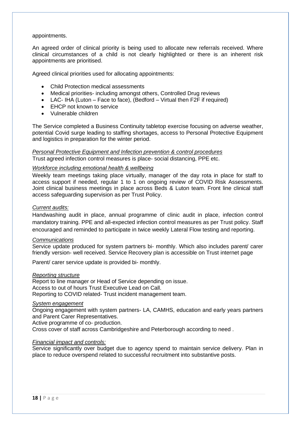#### appointments.

An agreed order of clinical priority is being used to allocate new referrals received. Where clinical circumstances of a child is not clearly highlighted or there is an inherent risk appointments are prioritised.

Agreed clinical priorities used for allocating appointments:

- Child Protection medical assessments
- Medical priorities- including amongst others, Controlled Drug reviews
- LAC- IHA (Luton Face to face), (Bedford Virtual then F2F if required)
- EHCP not known to service
- Vulnerable children

The Service completed a Business Continuity tabletop exercise focusing on adverse weather, potential Covid surge leading to staffing shortages, access to Personal Protective Equipment and logistics in preparation for the winter period.

#### *Personal Protective Equipment and Infection prevention & control procedures*  • Trust agreed infection control measures is place- social distancing, PPE etc.

#### *Workforce including emotional health & wellbeing*

Weekly team meetings taking place virtually, manager of the day rota in place for staff to access support if needed, regular 1 to 1 on ongoing review of COVID Risk Assessments. Joint clinical business meetings in place across Beds & Luton team. Front line clinical staff access safeguarding supervision as per Trust Policy.

#### *Current audits:*

Handwashing audit in place, annual programme of clinic audit in place, infection control mandatory training. PPE and all-expected infection control measures as per Trust policy. Staff encouraged and reminded to participate in twice weekly Lateral Flow testing and reporting.

#### *Communications*

Service update produced for system partners bi- monthly. Which also includes parent/ carer friendly version- well received. Service Recovery plan is accessible on Trust internet page

Parent/ carer service update is provided bi- monthly.

#### *Reporting structure*

Report to line manager or Head of Service depending on issue. Access to out of hours Trust Executive Lead on Call. Reporting to COVID related- Trust incident management team.

#### *System engagement*

Ongoing engagement with system partners- LA, CAMHS, education and early years partners and Parent Carer Representatives.

Active programme of co- production.

Cross cover of staff across Cambridgeshire and Peterborough according to need .

#### *Financial impact and controls:*

Service significantly over budget due to agency spend to maintain service delivery. Plan in place to reduce overspend related to successful recruitment into substantive posts.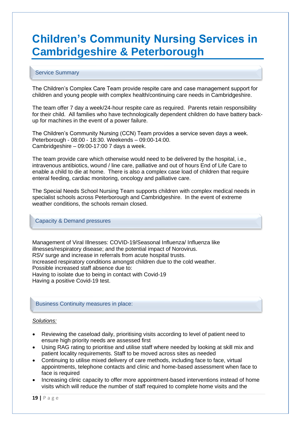## **Children's Community Nursing Services in Cambridgeshire & Peterborough**

#### Service Summary

The Children's Complex Care Team provide respite care and case management support for children and young people with complex health/continuing care needs in Cambridgeshire.

The team offer 7 day a week/24-hour respite care as required. Parents retain responsibility for their child. All families who have technologically dependent children do have battery backup for machines in the event of a power failure.

The Children's Community Nursing (CCN) Team provides a service seven days a week. Peterborough - 08:00 - 18:30. Weekends – 09:00-14:00. Cambridgeshire – 09:00-17:00 7 days a week.

The team provide care which otherwise would need to be delivered by the hospital, i.e., intravenous antibiotics, wound / line care, palliative and out of hours End of Life Care to enable a child to die at home. There is also a complex case load of children that require enteral feeding, cardiac monitoring, oncology and palliative care.

The Special Needs School Nursing Team supports children with complex medical needs in specialist schools across Peterborough and Cambridgeshire. In the event of extreme weather conditions, the schools remain closed.

#### Capacity & Demand pressures

Management of Viral Illnesses: COVID-19/Seasonal Influenza/ Influenza like illnesses/respiratory disease; and the potential impact of Norovirus. RSV surge and increase in referrals from acute hospital trusts. Increased respiratory conditions amongst children due to the cold weather. Possible increased staff absence due to: Having to isolate due to being in contact with Covid-19 Having a positive Covid-19 test.

#### Business Continuity measures in place:

#### *Solutions:*

- Reviewing the caseload daily, prioritising visits according to level of patient need to ensure high priority needs are assessed first
- Using RAG rating to prioritise and utilise staff where needed by looking at skill mix and patient locality requirements. Staff to be moved across sites as needed
- Continuing to utilise mixed delivery of care methods, including face to face, virtual appointments, telephone contacts and clinic and home-based assessment when face to face is required
- Increasing clinic capacity to offer more appointment-based interventions instead of home visits which will reduce the number of staff required to complete home visits and the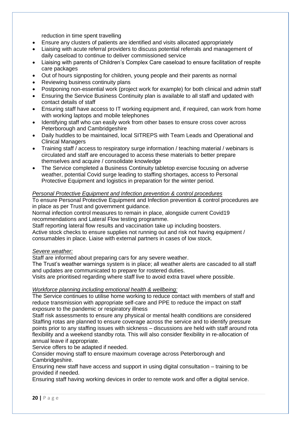reduction in time spent travelling

- Ensure any clusters of patients are identified and visits allocated appropriately
- Liaising with acute referral providers to discuss potential referrals and management of daily caseload to continue to deliver commissioned service
- Liaising with parents of Children's Complex Care caseload to ensure facilitation of respite care packages
- Out of hours signposting for children, young people and their parents as normal
- Reviewing business continuity plans
- Postponing non-essential work (project work for example) for both clinical and admin staff
- Ensuring the Service Business Continuity plan is available to all staff and updated with contact details of staff
- Ensuring staff have access to IT working equipment and, if required, can work from home with working laptops and mobile telephones
- Identifying staff who can easily work from other bases to ensure cross cover across Peterborough and Cambridgeshire
- Daily huddles to be maintained, local SITREPS with Team Leads and Operational and Clinical Managers
- Training staff / access to respiratory surge information / teaching material / webinars is circulated and staff are encouraged to access these materials to better prepare themselves and acquire / consolidate knowledge
- The Service completed a Business Continuity tabletop exercise focusing on adverse weather, potential Covid surge leading to staffing shortages, access to Personal Protective Equipment and logistics in preparation for the winter period.

#### *Personal Protective Equipment and Infection prevention & control procedures*

To ensure Personal Protective Equipment and Infection prevention & control procedures are in place as per Trust and government guidance.

Normal infection control measures to remain in place, alongside current Covid19 recommendations and Lateral Flow testing programme.

Staff reporting lateral flow results and vaccination take up including boosters.

Active stock checks to ensure supplies not running out and risk not having equipment / consumables in place. Liaise with external partners in cases of low stock.

#### *Severe weather:*

Staff are informed about preparing cars for any severe weather.

The Trust's weather warnings system is in place; all weather alerts are cascaded to all staff and updates are communicated to prepare for rostered duties.

Visits are prioritised regarding where staff live to avoid extra travel where possible.

#### *Workforce planning including emotional health & wellbeing:*

The Service continues to utilise home working to reduce contact with members of staff and reduce transmission with appropriate self-care and PPE to reduce the impact on staff exposure to the pandemic or respiratory illness

Staff risk assessments to ensure any physical or mental health conditions are considered Staffing rotas are planned to ensure coverage across the service and to identify pressure points prior to any staffing issues with sickness – discussions are held with staff around rota flexibility and a weekend standby rota. This will also consider flexibility in re-allocation of annual leave if appropriate.

Service offers to be adapted if needed.

Consider moving staff to ensure maximum coverage across Peterborough and Cambridgeshire.

Ensuring new staff have access and support in using digital consultation – training to be provided if needed.

Ensuring staff having working devices in order to remote work and offer a digital service.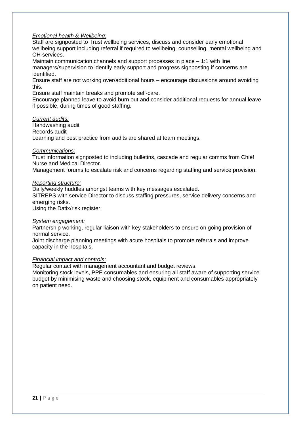#### *Emotional health & Wellbeing:*

Staff are signposted to Trust wellbeing services, discuss and consider early emotional wellbeing support including referral if required to wellbeing, counselling, mental wellbeing and OH services.

Maintain communication channels and support processes in place – 1:1 with line managers/supervision to identify early support and progress signposting if concerns are identified.

Ensure staff are not working over/additional hours – encourage discussions around avoiding this.

Ensure staff maintain breaks and promote self-care.

Encourage planned leave to avoid burn out and consider additional requests for annual leave if possible, during times of good staffing.

#### *Current audits:*

Handwashing audit Records audit Learning and best practice from audits are shared at team meetings.

#### *Communications:*

Trust information signposted to including bulletins, cascade and regular comms from Chief Nurse and Medical Director.

Management forums to escalate risk and concerns regarding staffing and service provision.

#### *Reporting structure:*

Daily/weekly huddles amongst teams with key messages escalated.

SITREPS with service Director to discuss staffing pressures, service delivery concerns and emerging risks.

Using the Datix/risk register.

#### *System engagement:*

Partnership working, regular liaison with key stakeholders to ensure on going provision of normal service.

Joint discharge planning meetings with acute hospitals to promote referrals and improve capacity in the hospitals.

#### *Financial impact and controls:*

Regular contact with management accountant and budget reviews.

Monitoring stock levels, PPE consumables and ensuring all staff aware of supporting service budget by minimising waste and choosing stock, equipment and consumables appropriately on patient need.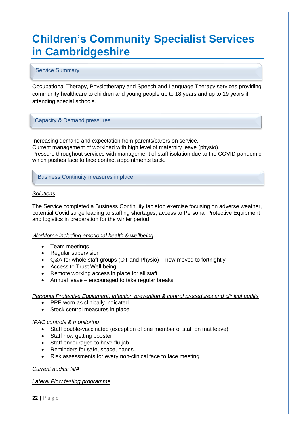## **Children's Community Specialist Services in Cambridgeshire**

#### Service Summary

Occupational Therapy, Physiotherapy and Speech and Language Therapy services providing community healthcare to children and young people up to 18 years and up to 19 years if attending special schools.

#### Capacity & Demand pressures

Increasing demand and expectation from parents/carers on service. Current management of workload with high level of maternity leave (physio). Pressure throughout services with management of staff isolation due to the COVID pandemic which pushes face to face contact appointments back.

Business Continuity measures in place:

#### *Solutions*

The Service completed a Business Continuity tabletop exercise focusing on adverse weather, potential Covid surge leading to staffing shortages, access to Personal Protective Equipment and logistics in preparation for the winter period.

#### *Workforce including emotional health & wellbeing*

- Team meetings
- Regular supervision
- Q&A for whole staff groups (OT and Physio) now moved to fortnightly
- Access to Trust Well being
- Remote working access in place for all staff
- Annual leave encouraged to take regular breaks

*Personal Protective Equipment, Infection prevention & control procedures and clinical audits*

- PPE worn as clinically indicated.
- Stock control measures in place

#### *IPAC controls & monitoring*

- Staff double-vaccinated (exception of one member of staff on mat leave)
- Staff now getting booster
- Staff encouraged to have flu jab
- Reminders for safe, space, hands.
- Risk assessments for every non-clinical face to face meeting

#### *Current audits: N/A*

*Lateral Flow testing programme*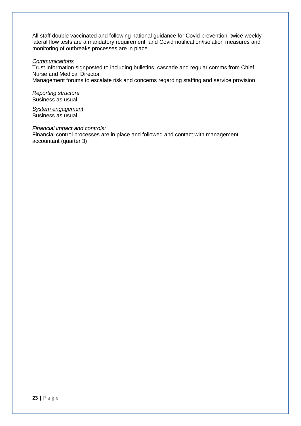All staff double vaccinated and following national guidance for Covid prevention, twice weekly lateral flow tests are a mandatory requirement, and Covid notification/isolation measures and monitoring of outbreaks processes are in place.

#### *Communications*

Trust information signposted to including bulletins, cascade and regular comms from Chief Nurse and Medical Director

Management forums to escalate risk and concerns regarding staffing and service provision

*Reporting structure* Business as usual

*System engagement*  Business as usual

#### *Financial impact and controls:*

Financial control processes are in place and followed and contact with management accountant (quarter 3)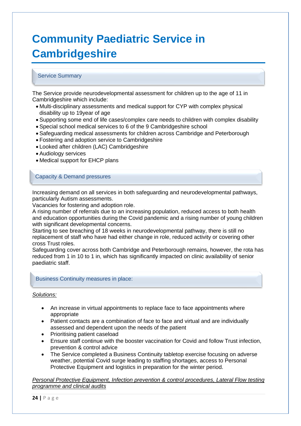## **Community Paediatric Service in Cambridgeshire**

#### Service Summary

The Service provide neurodevelopmental assessment for children up to the age of 11 in Cambridgeshire which include:

- Multi-disciplinary assessments and medical support for CYP with complex physical disability up to 19year of age
- Supporting some end of life cases/complex care needs to children with complex disability
- Special school medical services to 6 of the 9 Cambridgeshire school
- Safeguarding medical assessments for children across Cambridge and Peterborough
- Fostering and adoption service to Cambridgeshire
- Looked after children (LAC) Cambridgeshire
- Audiology services
- Medical support for EHCP plans

#### Capacity & Demand pressures

Increasing demand on all services in both safeguarding and neurodevelopmental pathways, particularly Autism assessments.

Vacancies for fostering and adoption role.

A rising number of referrals due to an increasing population, reduced access to both health and education opportunities during the Covid pandemic and a rising number of young children with significant developmental concerns.

Starting to see breaching of 18 weeks in neurodevelopmental pathway, there is still no replacement of staff who have had either change in role, reduced activity or covering other cross Trust roles.

Safeguarding cover across both Cambridge and Peterborough remains, however, the rota has reduced from 1 in 10 to 1 in, which has significantly impacted on clinic availability of senior paediatric staff.

#### Business Continuity measures in place:

#### *Solutions:*

- An increase in virtual appointments to replace face to face appointments where appropriate
- Patient contacts are a combination of face to face and virtual and are individually assessed and dependent upon the needs of the patient
- Prioritising patient caseload
- Ensure staff continue with the booster vaccination for Covid and follow Trust infection, prevention & control advice
- The Service completed a Business Continuity tabletop exercise focusing on adverse weather, potential Covid surge leading to staffing shortages, access to Personal Protective Equipment and logistics in preparation for the winter period.

*Personal Protective Equipment, Infection prevention & control procedures, Lateral Flow testing programme and clinical audits*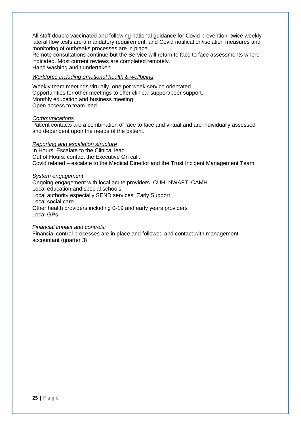All staff double vaccinated and following national guidance for Covid prevention, twice weekly lateral flow tests are a mandatory requirement, and Covid notification/isolation measures and monitoring of outbreaks processes are in place.

Remote consultations continue but the Service will return to face to face assessments where indicated. Most current reviews are completed remotely. Hand washing audit undertaken.

#### *Workforce including emotional health & wellbeing*

Weekly team meetings virtually, one per week service orientated. Opportunities for other meetings to offer clinical support/peer support. Monthly education and business meeting. Open access to team lead

#### *Communications*

Patient contacts are a combination of face to face and virtual and are individually assessed and dependent upon the needs of the patient.

#### *Reporting and escalation structure*

In Hours: Escalate to the Clinical lead . Out of Hours: contact the Executive On call. Covid related – escalate to the Medical Director and the Trust Incident Management Team.

#### *System engagement*

Ongoing engagement with local acute providers- CUH, NWAFT, CAMH Local education and special schools Local authority especially SEND services, Early Support, Local social care Other health providers including 0-19 and early years providers Local GPs

#### *Financial impact and controls:*

Financial control processes are in place and followed and contact with management accountant (quarter 3)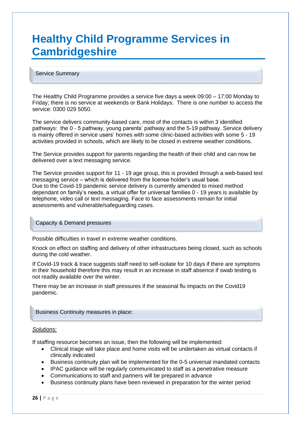## **Healthy Child Programme Services in Cambridgeshire**

#### Service Summary

The Healthy Child Programme provides a service five days a week 09:00 – 17:00 Monday to Friday; there is no service at weekends or Bank Holidays. There is one number to access the service: 0300 029 5050.

The service delivers community-based care, most of the contacts is within 3 identified pathways: the 0 - 5 pathway, young parents' pathway and the 5-19 pathway. Service delivery is mainly offered in service users' homes with some clinic-based activities with some 5 - 19 activities provided in schools, which are likely to be closed in extreme weather conditions.

The Service provides support for parents regarding the health of their child and can now be delivered over a text messaging service.

The Service provides support for 11 - 19 age group, this is provided through a web-based text messaging service – which is delivered from the license holder's usual base. Due to the Covid-19 pandemic service delivery is currently amended to mixed method dependant on family's needs, a virtual offer for universal families 0 - 19 years is available by telephone, video call or text messaging. Face to face assessments remain for initial assessments and vulnerable/safeguarding cases.

Capacity & Demand pressures

Possible difficulties in travel in extreme weather conditions.

Knock on effect on staffing and delivery of other infrastructures being closed, such as schools during the cold weather.

If Covid-19 track & trace suggests staff need to self-isolate for 10 days if there are symptoms in their household therefore this may result in an increase in staff absence if swab testing is not readily available over the winter.

There may be an increase in staff pressures if the seasonal flu impacts on the Covid19 pandemic.

#### Business Continuity measures in place:

#### *Solutions:*

If staffing resource becomes an issue, then the following will be implemented:

- Clinical triage will take place and home visits will be undertaken as virtual contacts if clinically indicated
- Business continuity plan will be implemented for the 0-5 universal mandated contacts
- IPAC guidance will be regularly communicated to staff as a penetrative measure
- Communications to staff and partners will be prepared in advance
- Business continuity plans have been reviewed in preparation for the winter period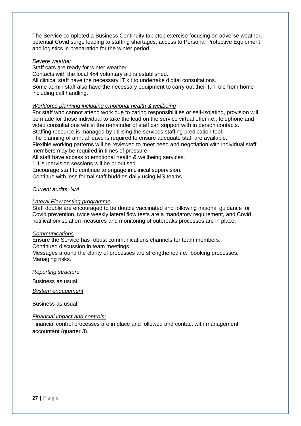The Service completed a Business Continuity tabletop exercise focusing on adverse weather, potential Covid surge leading to staffing shortages, access to Personal Protective Equipment and logistics in preparation for the winter period.

#### *Severe weather*

Staff cars are ready for winter weather.

Contacts with the local 4x4 voluntary aid is established.

All clinical staff have the necessary IT kit to undertake digital consultations.

Some admin staff also have the necessary equipment to carry out their full role from home including call handling.

#### *Workforce planning including emotional health & wellbeing*

For staff who cannot attend work due to caring responsibilities or self-isolating, provision will be made for those individual to take the lead on the service virtual offer i.e., telephone and video consultations whilst the remainder of staff can support with in person contacts. Staffing resource is managed by utilising the services staffing predication tool.

The planning of annual leave is required to ensure adequate staff are available.

Flexible working patterns will be reviewed to meet need and negotiation with individual staff members may be required in times of pressure.

All staff have access to emotional health & wellbeing services.

1:1 supervision sessions will be prioritised.

Encourage staff to continue to engage in clinical supervision.

Continue with less formal staff huddles daily using MS teams.

#### *Current audits: N/A*

#### *Lateral Flow testing programme*

Staff double are encouraged to be double vaccinated and following national guidance for Covid prevention, twice weekly lateral flow tests are a mandatory requirement, and Covid notification/isolation measures and monitoring of outbreaks processes are in place.

#### *Communications*

Ensure the Service has robust communications channels for team members. Continued discussion in team meetings.

Messages around the clarity of processes are strengthened i.e. booking processes. Managing risks.

#### *Reporting structure*

Business as usual.

*System engagement* 

Business as usual.

#### *Financial impact and controls:*

Financial control processes are in place and followed and contact with management accountant (quarter 3).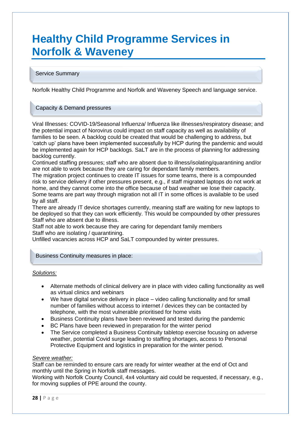## **Healthy Child Programme Services in Norfolk & Waveney**

#### Service Summary

Norfolk Healthy Child Programme and Norfolk and Waveney Speech and language service.

#### Capacity & Demand pressures

Viral Illnesses: COVID-19/Seasonal Influenza/ Influenza like illnesses/respiratory disease; and the potential impact of Norovirus could impact on staff capacity as well as availability of families to be seen. A backlog could be created that would be challenging to address, but 'catch up' plans have been implemented successfully by HCP during the pandemic and would be implemented again for HCP backlogs. SaLT are in the process of planning for addressing backlog currently.

Continued staffing pressures; staff who are absent due to illness/isolating/quarantining and/or are not able to work because they are caring for dependant family members.

The migration project continues to create IT issues for some teams, there is a compounded risk to service delivery if other pressures present, e.g., if staff migrated laptops do not work at home, and they cannot come into the office because of bad weather we lose their capacity. Some teams are part way through migration not all IT in some offices is available to be used by all staff.

There are already IT device shortages currently, meaning staff are waiting for new laptops to be deployed so that they can work efficiently. This would be compounded by other pressures Staff who are absent due to illness.

Staff not able to work because they are caring for dependant family members Staff who are isolating / quarantining.

Unfilled vacancies across HCP and SaLT compounded by winter pressures.

#### Business Continuity measures in place:

#### *Solutions:*

- Alternate methods of clinical delivery are in place with video calling functionality as well as virtual clinics and webinars
- We have digital service delivery in place video calling functionality and for small number of families without access to internet / devices they can be contacted by telephone, with the most vulnerable prioritised for home visits
- Business Continuity plans have been reviewed and tested during the pandemic
- BC Plans have been reviewed in preparation for the winter period
- The Service completed a Business Continuity tabletop exercise focusing on adverse weather, potential Covid surge leading to staffing shortages, access to Personal Protective Equipment and logistics in preparation for the winter period.

#### *Severe weather:*

Staff can be reminded to ensure cars are ready for winter weather at the end of Oct and monthly until the Spring in Norfolk staff messages.

Working with Norfolk County Council, 4x4 voluntary aid could be requested, if necessary, e.g., for moving supplies of PPE around the county.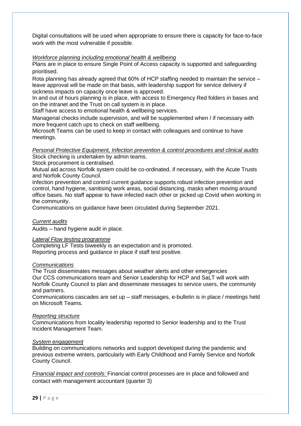Digital consultations will be used when appropriate to ensure there is capacity for face-to-face work with the most vulnerable if possible.

#### *Workforce planning including emotional health & wellbeing*

Plans are in place to ensure Single Point of Access capacity is supported and safeguarding prioritised.

Rota planning has already agreed that 60% of HCP staffing needed to maintain the service – leave approval will be made on that basis, with leadership support for service delivery if sickness impacts on capacity once leave is approved.

In and out of hours planning is in place, with access to Emergency Red folders in bases and on the intranet and the Trust on call system is in place.

Staff have access to emotional health & wellbeing services.

Managerial checks include supervision, and will be supplemented when / if necessary with more frequent catch ups to check on staff wellbeing.

Microsoft Teams can be used to keep in contact with colleagues and continue to have meetings.

#### *Personal Protective Equipment, Infection prevention & control procedures and clinical audits* Stock checking is undertaken by admin teams.

Stock procurement is centralised.

Mutual aid across Norfolk system could be co-ordinated, if necessary, with the Acute Trusts and Norfolk County Council.

Infection prevention and control current guidance supports robust infection prevention and control, hand hygiene, sanitising work areas, social distancing, masks when moving around office bases. No staff appear to have infected each other or picked up Covid when working in the community.

Communications on guidance have been circulated during September 2021.

#### *Current audits*

Audits – hand hygiene audit in place.

#### *Lateral Flow testing programme*

Completing LF Tests biweekly is an expectation and is promoted. Reporting process and guidance in place if staff test positive.

#### *Communications*

The Trust disseminates messages about weather alerts and other emergencies Our CCS communications team and Senior Leadership for HCP and SaLT will work with Norfolk County Council to plan and disseminate messages to service users, the community and partners.

Communications cascades are set up – staff messages, e-bulletin is in place / meetings held on Microsoft Teams.

#### *Reporting structure*

Communications from locality leadership reported to Senior leadership and to the Trust Incident Management Team.

#### *System engagement*

Building on communications networks and support developed during the pandemic and previous extreme winters, particularly with Early Childhood and Family Service and Norfolk County Council.

*Financial impact and controls:* Financial control processes are in place and followed and contact with management accountant (quarter 3)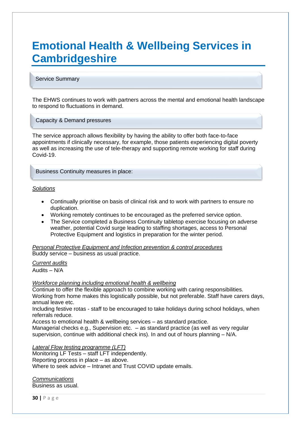## **Emotional Health & Wellbeing Services in Cambridgeshire**

#### Service Summary

The EHWS continues to work with partners across the mental and emotional health landscape to respond to fluctuations in demand.

#### Capacity & Demand pressures

The service approach allows flexibility by having the ability to offer both face-to-face appointments if clinically necessary, for example, those patients experiencing digital poverty as well as increasing the use of tele-therapy and supporting remote working for staff during Covid-19.

#### Business Continuity measures in place:

#### *Solutions*

- Continually prioritise on basis of clinical risk and to work with partners to ensure no duplication.
- Working remotely continues to be encouraged as the preferred service option.
- The Service completed a Business Continuity tabletop exercise focusing on adverse weather, potential Covid surge leading to staffing shortages, access to Personal Protective Equipment and logistics in preparation for the winter period.

*Personal Protective Equipment and Infection prevention & control procedures*  Buddy service – business as usual practice.

*Current audits*

Audits – N/A

#### *Workforce planning including emotional health & wellbeing*

Continue to offer the flexible approach to combine working with caring responsibilities. Working from home makes this logistically possible, but not preferable. Staff have carers days, annual leave etc.

Including festive rotas - staff to be encouraged to take holidays during school holidays, when referrals reduce.

Access to emotional health & wellbeing services – as standard practice.

Managerial checks e.g., Supervision etc. – as standard practice (as well as very regular supervision, continue with additional check ins). In and out of hours planning – N/A.

*Lateral Flow testing programme (LFT)*

Monitoring LF Tests – staff LFT independently.

Reporting process in place – as above.

Where to seek advice – Intranet and Trust COVID update emails.

*Communications*  Business as usual.

**30 |** P a g e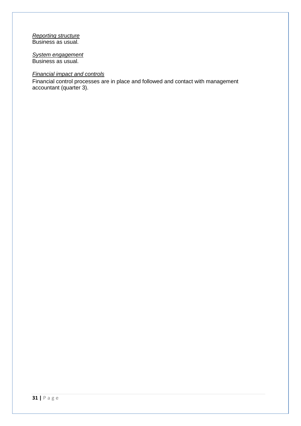#### *Reporting structure* Business as usual.

*System engagement*  Business as usual.

#### *Financial impact and controls*

Financial control processes are in place and followed and contact with management accountant (quarter 3).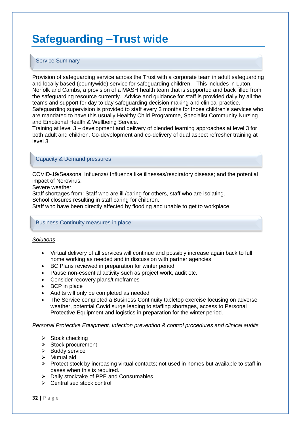## **Safeguarding –Trust wide**

#### Service Summary

Provision of safeguarding service across the Trust with a corporate team in adult safeguarding and locally based (countywide) service for safeguarding children. This includes in Luton, Norfolk and Cambs, a provision of a MASH health team that is supported and back filled from the safeguarding resource currently. Advice and guidance for staff is provided daily by all the teams and support for day to day safeguarding decision making and clinical practice. Safeguarding supervision is provided to staff every 3 months for those children's services who are mandated to have this usually Healthy Child Programme, Specialist Community Nursing and Emotional Health & Wellbeing Service.

Training at level 3 – development and delivery of blended learning approaches at level 3 for both adult and children. Co-development and co-delivery of dual aspect refresher training at level 3.

#### Capacity & Demand pressures

COVID-19/Seasonal Influenza/ Influenza like illnesses/respiratory disease; and the potential impact of Norovirus.

Severe weather.

Staff shortages from: Staff who are ill /caring for others, staff who are isolating. School closures resulting in staff caring for children.

Staff who have been directly affected by flooding and unable to get to workplace.

#### Business Continuity measures in place:

#### *Solutions*

- Virtual delivery of all services will continue and possibly increase again back to full home working as needed and in discussion with partner agencies
- BC Plans reviewed in preparation for winter period
- Pause non-essential activity such as project work, audit etc.
- Consider recovery plans/timeframes
- **BCP** in place
- Audits will only be completed as needed
- The Service completed a Business Continuity tabletop exercise focusing on adverse weather, potential Covid surge leading to staffing shortages, access to Personal Protective Equipment and logistics in preparation for the winter period.

#### *Personal Protective Equipment, Infection prevention & control procedures and clinical audits*

- $\triangleright$  Stock checking
- ➢ Stock procurement
- ➢ Buddy service
- $\triangleright$  Mutual aid
- $\triangleright$  Protect stock by increasing virtual contacts; not used in homes but available to staff in bases when this is required.
- ➢ Daily stocktake of PPE and Consumables.
- ➢ Centralised stock control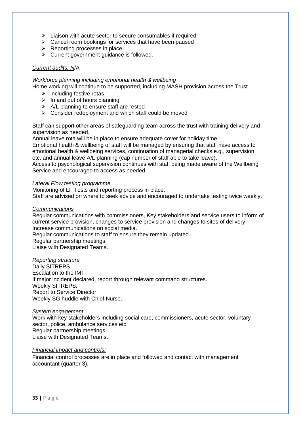- ➢ Liaison with acute sector to secure consumables if required
- ➢ Cancel room bookings for services that have been paused
- ➢ Reporting processes in place
- $\triangleright$  Current government guidance is followed.

#### *Current audits: N*/A

#### *Workforce planning including emotional health & wellbeing*

Home working will continue to be supported, including MASH provision across the Trust.

- $\triangleright$  including festive rotas
- $\triangleright$  In and out of hours planning
- $\triangleright$  A/L planning to ensure staff are rested
- ➢ Consider redeployment and which staff could be moved

Staff can support other areas of safeguarding team across the trust with training delivery and supervision as needed.

Annual leave rota will be in place to ensure adequate cover for holiday time.

Emotional health & wellbeing of staff will be managed by ensuring that staff have access to emotional health & wellbeing services, continuation of managerial checks e.g., supervision etc. and annual leave A/L planning (cap number of staff able to take leave).

Access to psychological supervision continues with staff being made aware of the Wellbeing Service and encouraged to access as needed.

#### *Lateral Flow testing programme*

Monitoring of LF Tests and reporting process in place. Staff are advised on where to seek advice and encouraged to undertake testing twice weekly.

#### *Communications*

Regular communications with commissioners, Key stakeholders and service users to inform of current service provision, changes to service provision and changes to sites of delivery. Increase communications on social media.

Regular communications to staff to ensure they remain updated.

Regular partnership meetings.

Liaise with Designated Teams.

#### *Reporting structure*

Daily SITREPS. Escalation to the IMT If major incident declared, report through relevant command structures. Weekly SITREPS. Report to Service Director. Weekly SG huddle with Chief Nurse.

#### *System engagement*

Work with key stakeholders including social care, commissioners, acute sector, voluntary sector, police, ambulance services etc. Regular partnership meetings. Liaise with Designated Teams.

#### *Financial impact and controls:*

Financial control processes are in place and followed and contact with management accountant (quarter 3).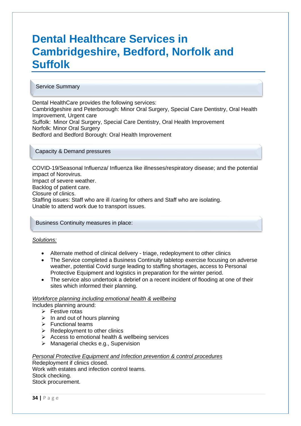## **Dental Healthcare Services in Cambridgeshire, Bedford, Norfolk and Suffolk**

#### Service Summary

ł

Dental HealthCare provides the following services: Cambridgeshire and Peterborough: Minor Oral Surgery, Special Care Dentistry, Oral Health Improvement, Urgent care Suffolk: Minor Oral Surgery, Special Care Dentistry, Oral Health Improvement Norfolk: Minor Oral Surgery Bedford and Bedford Borough: Oral Health Improvement

#### Capacity & Demand pressures

COVID-19/Seasonal Influenza/ Influenza like illnesses/respiratory disease; and the potential impact of Norovirus. Impact of severe weather. Backlog of patient care. Closure of clinics. Staffing issues: Staff who are ill /caring for others and Staff who are isolating. Unable to attend work due to transport issues.

Business Continuity measures in place:

#### *Solutions:*

- Alternate method of clinical delivery triage, redeployment to other clinics
- The Service completed a Business Continuity tabletop exercise focusing on adverse weather, potential Covid surge leading to staffing shortages, access to Personal Protective Equipment and logistics in preparation for the winter period.
- The service also undertook a debrief on a recent incident of flooding at one of their sites which informed their planning.

#### *Workforce planning including emotional health & wellbeing*

Includes planning around:

- ➢ Festive rotas
- $\triangleright$  In and out of hours planning
- ➢ Functional teams
- $\triangleright$  Redeployment to other clinics
- $\triangleright$  Access to emotional health & wellbeing services
- ➢ Managerial checks e.g., Supervision

#### *Personal Protective Equipment and Infection prevention & control procedures*

Redeployment if clinics closed. Work with estates and infection control teams. Stock checking. Stock procurement.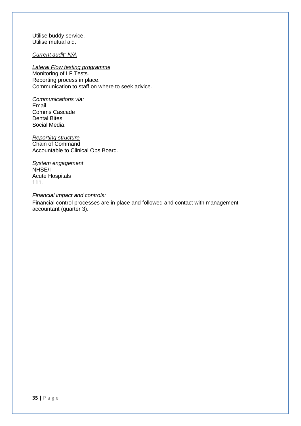Utilise buddy service. Utilise mutual aid.

*Current audit: N/A*

*Lateral Flow testing programme*

Monitoring of LF Tests. Reporting process in place. Communication to staff on where to seek advice.

*Communications via:*  Email Comms Cascade Dental Bites Social Media.

*Reporting structure* Chain of Command Accountable to Clinical Ops Board.

*System engagement*  NHSE/I Acute Hospitals 111.

*Financial impact and controls:*  Financial control processes are in place and followed and contact with management accountant (quarter 3).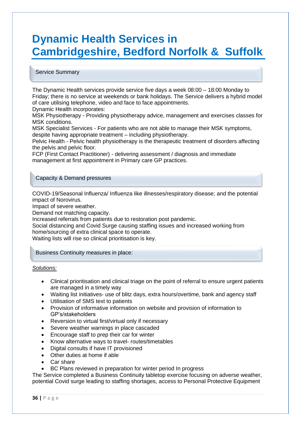## **Dynamic Health Services in Cambridgeshire, Bedford Norfolk & Suffolk**

#### Service Summary

The Dynamic Health services provide service five days a week 08:00 – 18:00 Monday to Friday; there is no service at weekends or bank holidays. The Service delivers a hybrid model of care utilising telephone, video and face to face appointments.

Dynamic Health incorporates:

MSK Physiotherapy - Providing physiotherapy advice, management and exercises classes for MSK conditions.

MSK Specialist Services - For patients who are not able to manage their MSK symptoms, despite having appropriate treatment – including physiotherapy.

Pelvic Health - Pelvic health physiotherapy is the therapeutic treatment of disorders affecting the pelvis and pelvic floor.

FCP (First Contact Practitioner) - delivering assessment / diagnosis and immediate management at first appointment in Primary care GP practices.

#### Capacity & Demand pressures

COVID-19/Seasonal Influenza/ Influenza like illnesses/respiratory disease; and the potential impact of Norovirus.

Impact of severe weather.

Demand not matching capacity.

Increased referrals from patients due to restoration post pandemic.

Social distancing and Covid Surge causing staffing issues and increased working from home/sourcing of extra clinical space to operate.

Waiting lists will rise so clinical prioritisation is key.

Business Continuity measures in place:

#### *Solutions:*

- Clinical prioritisation and clinical triage on the point of referral to ensure urgent patients are managed in a timely way
- Waiting list initiatives- use of blitz days, extra hours/overtime, bank and agency staff
- Utilisation of SMS text to patients
- Provision of informative information on website and provision of information to GP's/stakeholders
- Reversion to virtual first/virtual only if necessary
- Severe weather warnings in place cascaded
- Encourage staff to prep their car for winter
- Know alternative ways to travel- routes/timetables
- Digital consults if have IT provisioned
- Other duties at home if able
- Car share
- BC Plans reviewed in preparation for winter period In progress

The Service completed a Business Continuity tabletop exercise focusing on adverse weather, potential Covid surge leading to staffing shortages, access to Personal Protective Equipment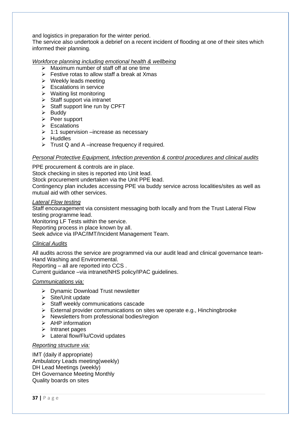and logistics in preparation for the winter period.

The service also undertook a debrief on a recent incident of flooding at one of their sites which informed their planning.

#### *Workforce planning including emotional health & wellbeing*

- ➢ Maximum number of staff off at one time
- $\triangleright$  Festive rotas to allow staff a break at Xmas
- $\triangleright$  Weekly leads meeting
- ➢ Escalations in service
- ➢ Waiting list monitoring
- $\triangleright$  Staff support via intranet
- $\triangleright$  Staff support line run by CPFT
- ➢ Buddy
- ➢ Peer support
- ➢ Escalations
- $\geq 1:1$  supervision –increase as necessary
- ➢ Huddles
- $\triangleright$  Trust Q and A –increase frequency if required.

#### *Personal Protective Equipment, Infection prevention & control procedures and clinical audits*

PPE procurement & controls are in place.

Stock checking in sites is reported into Unit lead.

Stock procurement undertaken via the Unit PPE lead.

Contingency plan includes accessing PPE via buddy service across localities/sites as well as mutual aid with other services.

#### *Lateral Flow testing*

Staff encouragement via consistent messaging both locally and from the Trust Lateral Flow testing programme lead.

Monitoring LF Tests within the service.

Reporting process in place known by all.

Seek advice via IPAC/IMT/Incident Management Team.

#### *Clinical Audits*

All audits across the service are programmed via our audit lead and clinical governance team-Hand Washing and Environmental.

Reporting – all are reported into CCS .

Current guidance –via intranet/NHS policy/IPAC guidelines.

#### *Communications via:*

- ➢ Dynamic Download Trust newsletter
- ➢ Site/Unit update
- ➢ Staff weekly communications cascade
- $\triangleright$  External provider communications on sites we operate e.g., Hinchingbrooke
- ➢ Newsletters from professional bodies/region
- ➢ AHP information
- ➢ Intranet pages
- ➢ Lateral flow/Flu/Covid updates

#### *Reporting structure via:*

IMT (daily if appropriate) Ambulatory Leads meeting(weekly) DH Lead Meetings (weekly) DH Governance Meeting Monthly Quality boards on sites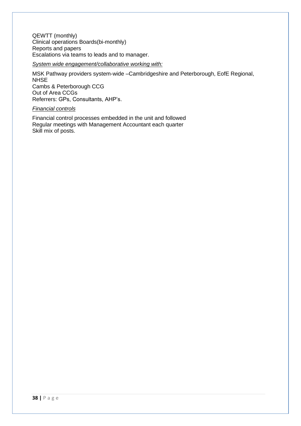QEWTT (monthly) Clinical operations Boards(bi-monthly) Reports and papers Escalations via teams to leads and to manager.

#### *System wide engagement/collaborative working with:*

MSK Pathway providers system-wide –Cambridgeshire and Peterborough, EofE Regional, NHSE Cambs & Peterborough CCG Out of Area CCGs Referrers: GPs, Consultants, AHP's.

#### *Financial controls*

Financial control processes embedded in the unit and followed Regular meetings with Management Accountant each quarter Skill mix of posts.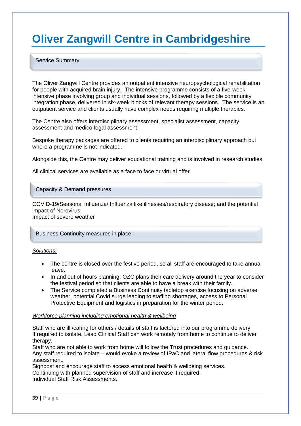## **Oliver Zangwill Centre in Cambridgeshire**

#### Service Summary

ĺ

The Oliver Zangwill Centre provides an outpatient intensive neuropsychological rehabilitation for people with acquired brain injury. The intensive programme consists of a five-week intensive phase involving group and individual sessions, followed by a flexible community integration phase, delivered in six-week blocks of relevant therapy sessions. The service is an outpatient service and clients usually have complex needs requiring multiple therapies.

The Centre also offers interdisciplinary assessment, specialist assessment, capacity assessment and medico-legal assessment.

Bespoke therapy packages are offered to clients requiring an interdisciplinary approach but where a programme is not indicated.

Alongside this, the Centre may deliver educational training and is involved in research studies.

All clinical services are available as a face to face or virtual offer.

#### Capacity & Demand pressures

COVID-19/Seasonal Influenza/ Influenza like illnesses/respiratory disease; and the potential impact of Norovirus Impact of severe weather

Business Continuity measures in place:

#### *Solutions:*

- The centre is closed over the festive period, so all staff are encouraged to take annual leave.
- In and out of hours planning: OZC plans their care delivery around the year to consider the festival period so that clients are able to have a break with their family.
- The Service completed a Business Continuity tabletop exercise focusing on adverse weather, potential Covid surge leading to staffing shortages, access to Personal Protective Equipment and logistics in preparation for the winter period.

#### *Workforce planning including emotional health & wellbeing*

Staff who are ill /caring for others / details of staff is factored into our programme delivery If required to isolate, Lead Clinical Staff can work remotely from home to continue to deliver therapy.

Staff who are not able to work from home will follow the Trust procedures and guidance. Any staff required to isolate – would evoke a review of IPaC and lateral flow procedures & risk assessment.

Signpost and encourage staff to access emotional health & wellbeing services. Continuing with planned supervision of staff and increase if required. Individual Staff Risk Assessments.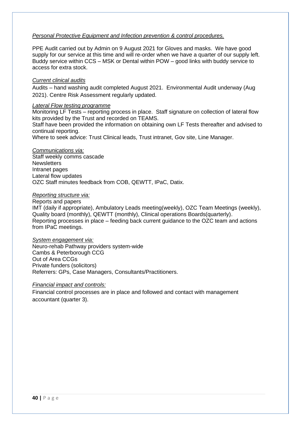#### *Personal Protective Equipment and Infection prevention & control procedures.*

PPE Audit carried out by Admin on 9 August 2021 for Gloves and masks. We have good supply for our service at this time and will re-order when we have a quarter of our supply left. Buddy service within CCS – MSK or Dental within POW – good links with buddy service to access for extra stock.

#### *Current clinical audits*

Audits – hand washing audit completed August 2021. Environmental Audit underway (Aug 2021). Centre Risk Assessment regularly updated.

#### *Lateral Flow testing programme*

Monitoring LF Tests – reporting process in place. Staff signature on collection of lateral flow kits provided by the Trust and recorded on TEAMS.

Staff have been provided the information on obtaining own LF Tests thereafter and advised to continual reporting.

Where to seek advice: Trust Clinical leads, Trust intranet, Gov site, Line Manager.

#### *Communications via:*

Staff weekly comms cascade **Newsletters** Intranet pages Lateral flow updates OZC Staff minutes feedback from COB, QEWTT, IPaC, Datix.

#### *Reporting structure via:*

Reports and papers

IMT (daily if appropriate), Ambulatory Leads meeting(weekly), OZC Team Meetings (weekly), Quality board (monthly), QEWTT (monthly), Clinical operations Boards(quarterly). Reporting processes in place – feeding back current guidance to the OZC team and actions from IPaC meetings.

#### *System engagement via:*

Neuro-rehab Pathway providers system-wide Cambs & Peterborough CCG Out of Area CCGs Private funders (solicitors) Referrers: GPs, Case Managers, Consultants/Practitioners.

#### *Financial impact and controls:*

Financial control processes are in place and followed and contact with management accountant (quarter 3).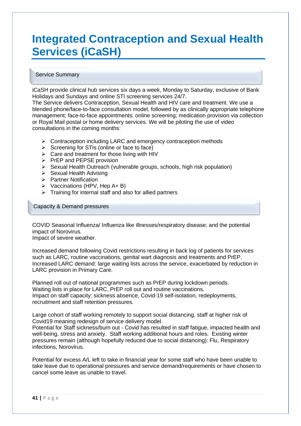## **Integrated Contraception and Sexual Health Services (iCaSH)**

#### Service Summary

iCaSH provide clinical hub services six days a week, Monday to Saturday, exclusive of Bank Holidays and Sundays and online STI screening services 24/7.

The Service delivers Contraception, Sexual Health and HIV care and treatment. We use a blended phone/face-to-face consultation model, followed by as clinically appropriate telephone management; face-to-face appointments; online screening; medication provision via collection or Royal Mail postal or home delivery services. We will be piloting the use of video consultations in the coming months:

- ➢ Contraception including LARC and emergency contraception methods
- $\triangleright$  Screening for STIs (online or face to face)
- $\triangleright$  Care and treatment for those living with HIV
- ➢ PrEP and PEPSE provision
- ➢ Sexual Health Outreach (vulnerable groups, schools, high risk population)
- ➢ Sexual Health Advising
- ➢ Partner Notification
- ➢ Vaccinations (HPV, Hep A+ B)
- $\triangleright$  Training for internal staff and also for allied partners

Capacity & Demand pressures

COVID Seasonal Influenza/ Influenza like illnesses/respiratory disease; and the potential impact of Norovirus.

Impact of severe weather.

Increased demand following Covid restrictions resulting in back log of patients for services such as LARC, routine vaccinations, genital wart diagnosis and treatments and PrEP. Increased LARC demand: large waiting lists across the service, exacerbated by reduction in LARC provision in Primary Care.

Planned roll out of national programmes such as PrEP during lockdown periods. Waiting lists in place for LARC, PrEP roll out and routine vaccinations. Impact on staff capacity: sickness absence, Covid-19 self-isolation, redeployments, recruitment and staff retention pressures.

Large cohort of staff working remotely to support social distancing, staff at higher risk of Covid19 meaning redesign of service delivery model.

Potential for Staff sickness/burn out - Covid has resulted in staff fatigue, impacted health and well-being, stress and anxiety. Staff working additional hours and roles. Existing winter pressures remain (although hopefully reduced due to social distancing): Flu, Respiratory infections, Norovirus.

Potential for excess A/L left to take in financial year for some staff who have been unable to take leave due to operational pressures and service demand/requirements or have chosen to cancel some leave as unable to travel.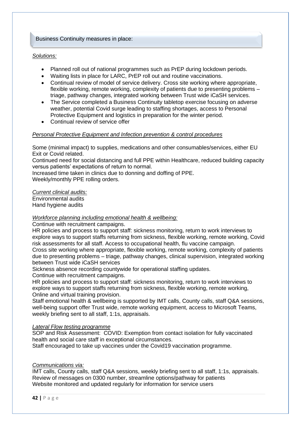#### Business Continuity measures in place:

#### *Solutions:*

- Planned roll out of national programmes such as PrEP during lockdown periods.
- Waiting lists in place for LARC, PrEP roll out and routine vaccinations.
- Continual review of model of service delivery. Cross site working where appropriate, flexible working, remote working, complexity of patients due to presenting problems – triage, pathway changes, integrated working between Trust wide iCaSH services.
- The Service completed a Business Continuity tabletop exercise focusing on adverse weather, potential Covid surge leading to staffing shortages, access to Personal Protective Equipment and logistics in preparation for the winter period.
- Continual review of service offer

#### *Personal Protective Equipment and Infection prevention & control procedures*

Some (minimal impact) to supplies, medications and other consumables/services, either EU Exit or Covid related.

Continued need for social distancing and full PPE within Healthcare, reduced building capacity versus patients' expectations of return to normal.

Increased time taken in clinics due to donning and doffing of PPE.

Weekly/monthly PPE rolling orders.

*Current clinical audits:* 

Environmental audits Hand hygiene audits

#### *Workforce planning including emotional health & wellbeing:*

Continue with recruitment campaigns.

HR policies and process to support staff: sickness monitoring, return to work interviews to explore ways to support staffs returning from sickness, flexible working, remote working, Covid risk assessments for all staff. Access to occupational health, flu vaccine campaign.

Cross site working where appropriate, flexible working, remote working, complexity of patients due to presenting problems – triage, pathway changes, clinical supervision, integrated working between Trust wide iCaSH services

Sickness absence recording countywide for operational staffing updates. Continue with recruitment campaigns.

HR policies and process to support staff: sickness monitoring, return to work interviews to explore ways to support staffs returning from sickness, flexible working, remote working, Online and virtual training provision.

Staff emotional health & wellbeing is supported by IMT calls, County calls, staff Q&A sessions, well-being support offer Trust wide, remote working equipment, access to Microsoft Teams, weekly briefing sent to all staff, 1:1s, appraisals.

#### *Lateral Flow testing programme*

SOP and Risk Assessment: COVID: Exemption from contact isolation for fully vaccinated health and social care staff in exceptional circumstances.

Staff encouraged to take up vaccines under the Covid19 vaccination programme.

#### *Communications via:*

IMT calls, County calls, staff Q&A sessions, weekly briefing sent to all staff, 1:1s, appraisals. Review of messages on 0300 number, streamline options/pathway for patients Website monitored and updated regularly for information for service users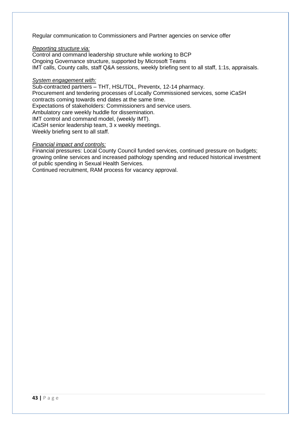Regular communication to Commissioners and Partner agencies on service offer

#### *Reporting structure via:*

Control and command leadership structure while working to BCP Ongoing Governance structure, supported by Microsoft Teams IMT calls, County calls, staff Q&A sessions, weekly briefing sent to all staff, 1:1s, appraisals.

#### *System engagement with:*

Sub-contracted partners – THT, HSL/TDL, Preventx, 12-14 pharmacy. Procurement and tendering processes of Locally Commissioned services, some iCaSH contracts coming towards end dates at the same time. Expectations of stakeholders: Commissioners and service users. Ambulatory care weekly huddle for dissemination. IMT control and command model, (weekly IMT). iCaSH senior leadership team, 3 x weekly meetings. Weekly briefing sent to all staff.

#### *Financial impact and controls:*

Financial pressures: Local County Council funded services, continued pressure on budgets; growing online services and increased pathology spending and reduced historical investment of public spending in Sexual Health Services.

Continued recruitment, RAM process for vacancy approval.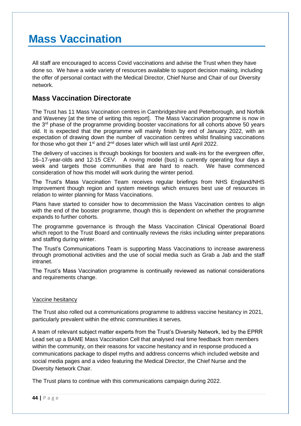## **Mass Vaccination**

All staff are encouraged to access Covid vaccinations and advise the Trust when they have done so. We have a wide variety of resources available to support decision making, including the offer of personal contact with the Medical Director, Chief Nurse and Chair of our Diversity network.

#### **Mass Vaccination Directorate**

The Trust has 11 Mass Vaccination centres in Cambridgeshire and Peterborough, and Norfolk and Waveney [at the time of writing this report]. The Mass Vaccination programme is now in the 3<sup>rd</sup> phase of the programme providing booster vaccinations for all cohorts above 50 years old. It is expected that the programme will mainly finish by end of January 2022, with an expectation of drawing down the number of vaccination centres whilst finalising vaccinations for those who got their 1<sup>st</sup> and  $2<sup>nd</sup>$  doses later which will last until April 2022.

The delivery of vaccines is through bookings for boosters and walk-ins for the evergreen offer, 16–17-year-olds and 12-15 CEV. A roving model (bus) is currently operating four days a week and targets those communities that are hard to reach. We have commenced consideration of how this model will work during the winter period.

The Trust's Mass Vaccination Team receives regular briefings from NHS England/NHS Improvement though region and system meetings which ensures best use of resources in relation to winter planning for Mass Vaccinations.

Plans have started to consider how to decommission the Mass Vaccination centres to align with the end of the booster programme, though this is dependent on whether the programme expands to further cohorts.

The programme governance is through the Mass Vaccination Clinical Operational Board which report to the Trust Board and continually reviews the risks including winter preparations and staffing during winter.

The Trust's Communications Team is supporting Mass Vaccinations to increase awareness through promotional activities and the use of social media such as Grab a Jab and the staff intranet.

The Trust's Mass Vaccination programme is continually reviewed as national considerations and requirements change.

#### Vaccine hesitancy

The Trust also rolled out a communications programme to address vaccine hesitancy in 2021, particularly prevalent within the ethnic communities it serves.

A team of relevant subject matter experts from the Trust's Diversity Network, led by the EPRR Lead set up a BAME Mass Vaccination Cell that analysed real time feedback from members within the community, on their reasons for vaccine hesitancy and in response produced a communications package to dispel myths and address concerns which included website and social media pages and a video featuring the Medical Director, the Chief Nurse and the Diversity Network Chair.

The Trust plans to continue with this communications campaign during 2022.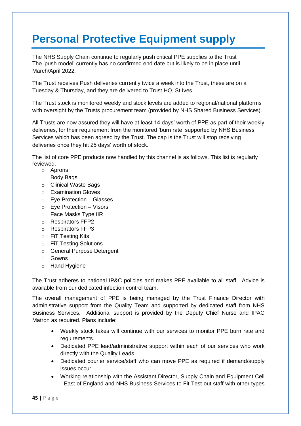## **Personal Protective Equipment supply**

The NHS Supply Chain continue to regularly push critical PPE supplies to the Trust The 'push model' currently has no confirmed end date but is likely to be in place until March/April 2022.

The Trust receives Push deliveries currently twice a week into the Trust, these are on a Tuesday & Thursday, and they are delivered to Trust HQ, St Ives.

The Trust stock is monitored weekly and stock levels are added to regional/national platforms with oversight by the Trusts procurement team (provided by NHS Shared Business Services).

All Trusts are now assured they will have at least 14 days' worth of PPE as part of their weekly deliveries, for their requirement from the monitored 'burn rate' supported by NHS Business Services which has been agreed by the Trust. The cap is the Trust will stop receiving deliveries once they hit 25 days' worth of stock.

The list of core PPE products now handled by this channel is as follows. This list is regularly reviewed.

- o Aprons
- o Body Bags
- o Clinical Waste Bags
- o Examination Gloves
- o Eye Protection Glasses
- o Eye Protection Visors
- o Face Masks Type IIR
- o Respirators FFP2
- o Respirators FFP3
- o FiT Testing Kits
- o FiT Testing Solutions
- o General Purpose Detergent
- o Gowns
- o Hand Hygiene

The Trust adheres to national IP&C policies and makes PPE available to all staff. Advice is available from our dedicated infection control team.

The overall management of PPE is being managed by the Trust Finance Director with administrative support from the Quality Team and supported by dedicated staff from NHS Business Services. Additional support is provided by the Deputy Chief Nurse and IPAC Matron as required. Plans include:

- Weekly stock takes will continue with our services to monitor PPE burn rate and requirements.
- Dedicated PPE lead/administrative support within each of our services who work directly with the Quality Leads.
- Dedicated courier service/staff who can move PPE as required if demand/supply issues occur.
- Working relationship with the Assistant Director, Supply Chain and Equipment Cell - East of England and NHS Business Services to Fit Test out staff with other types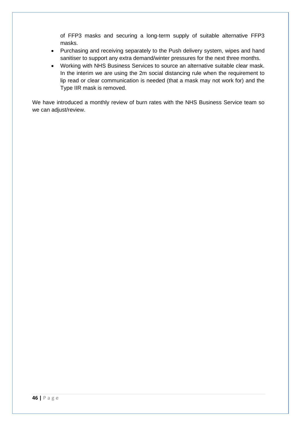of FFP3 masks and securing a long-term supply of suitable alternative FFP3 masks.

- Purchasing and receiving separately to the Push delivery system, wipes and hand sanitiser to support any extra demand/winter pressures for the next three months.
- Working with NHS Business Services to source an alternative suitable clear mask. In the interim we are using the 2m social distancing rule when the requirement to lip read or clear communication is needed (that a mask may not work for) and the Type IIR mask is removed.

We have introduced a monthly review of burn rates with the NHS Business Service team so we can adjust/review.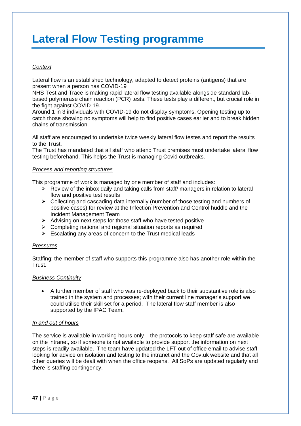## **Lateral Flow Testing programme**

#### *Context*

Lateral flow is an established technology, adapted to detect proteins (antigens) that are present when a person has COVID-19

NHS Test and Trace is making rapid lateral flow testing available alongside standard labbased polymerase chain reaction (PCR) tests. These tests play a different, but crucial role in the fight against COVID-19.

Around 1 in 3 individuals with COVID-19 do not display symptoms. Opening testing up to catch those showing no symptoms will help to find positive cases earlier and to break hidden chains of transmission.

All staff are encouraged to undertake twice weekly lateral flow testes and report the results to the Trust.

The Trust has mandated that all staff who attend Trust premises must undertake lateral flow testing beforehand. This helps the Trust is managing Covid outbreaks.

#### *Process and reporting structures*

This programme of work is managed by one member of staff and includes:

- $\triangleright$  Review of the inbox daily and taking calls from staff/ managers in relation to lateral flow and positive test results
- $\triangleright$  Collecting and cascading data internally (number of those testing and numbers of positive cases) for review at the Infection Prevention and Control huddle and the Incident Management Team
- $\triangleright$  Advising on next steps for those staff who have tested positive
- ➢ Completing national and regional situation reports as required
- $\triangleright$  Escalating any areas of concern to the Trust medical leads

#### *Pressures*

Staffing: the member of staff who supports this programme also has another role within the Trust.

#### *Business Continuity*

• A further member of staff who was re-deployed back to their substantive role is also trained in the system and processes; with their current line manager's support we could utilise their skill set for a period. The lateral flow staff member is also supported by the IPAC Team.

#### *In and out of hours*

The service is available in working hours only – the protocols to keep staff safe are available on the intranet, so if someone is not available to provide support the information on next steps is readily available. The team have updated the LFT out of office email to advise staff looking for advice on isolation and testing to the intranet and the Gov.uk website and that all other queries will be dealt with when the office reopens. All SoPs are updated regularly and there is staffing contingency.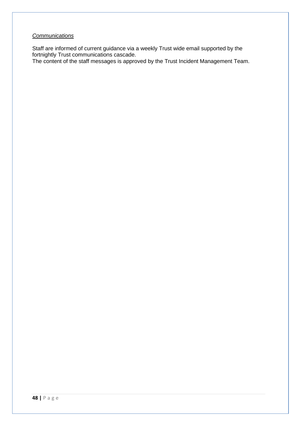#### *Communications*

Staff are informed of current guidance via a weekly Trust wide email supported by the fortnightly Trust communications cascade.

The content of the staff messages is approved by the Trust Incident Management Team.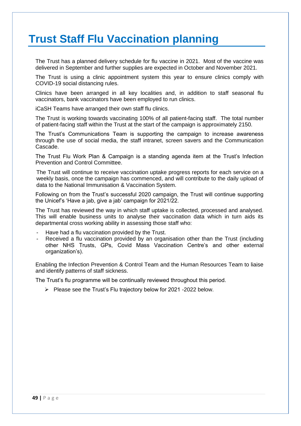## **Trust Staff Flu Vaccination planning**

The Trust has a planned delivery schedule for flu vaccine in 2021. Most of the vaccine was delivered in September and further supplies are expected in October and November 2021.

The Trust is using a clinic appointment system this year to ensure clinics comply with COVID-19 social distancing rules.

Clinics have been arranged in all key localities and, in addition to staff seasonal flu vaccinators, bank vaccinators have been employed to run clinics.

iCaSH Teams have arranged their own staff flu clinics.

The Trust is working towards vaccinating 100% of all patient-facing staff. The total number of patient-facing staff within the Trust at the start of the campaign is approximately 2150.

The Trust's Communications Team is supporting the campaign to increase awareness through the use of social media, the staff intranet, screen savers and the Communication Cascade.

The Trust Flu Work Plan & Campaign is a standing agenda item at the Trust's Infection Prevention and Control Committee.

The Trust will continue to receive vaccination uptake progress reports for each service on a weekly basis, once the campaign has commenced, and will contribute to the daily upload of data to the National Immunisation & Vaccination System.

Following on from the Trust's successful 2020 campaign, the Trust will continue supporting the Unicef's 'Have a jab, give a jab' campaign for 2021/22.

The Trust has reviewed the way in which staff uptake is collected, processed and analysed. This will enable business units to analyse their vaccination data which in turn aids its departmental cross working ability in assessing those staff who:

- Have had a flu vaccination provided by the Trust.
- Received a flu vaccination provided by an organisation other than the Trust (including other NHS Trusts, GPs, Covid Mass Vaccination Centre's and other external organization's).

Enabling the Infection Prevention & Control Team and the Human Resources Team to liaise and identify patterns of staff sickness.

The Trust's flu programme will be continually reviewed throughout this period.

➢ Please see the Trust's Flu trajectory below for 2021 -2022 below.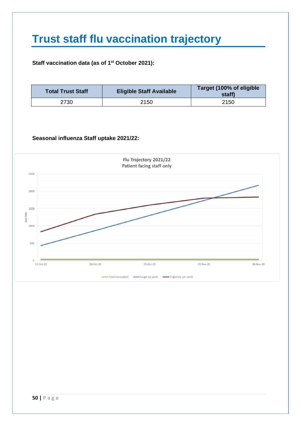## **Trust staff flu vaccination trajectory**

#### **Staff vaccination data (as of 1 st October 2021):**

| <b>Total Trust Staff</b> | <b>Eligible Staff Available</b> | Target (100% of eligible<br>staff) |
|--------------------------|---------------------------------|------------------------------------|
| 2730                     | 2150                            | 2150                               |

#### **Seasonal influenza Staff uptake 2021/22:**

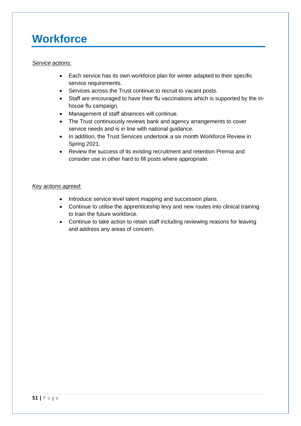## **Workforce**

#### *Service actions:*

- Each service has its own workforce plan for winter adapted to their specific service requirements.
- Services across the Trust continue to recruit to vacant posts.
- Staff are encouraged to have their flu vaccinations which is supported by the inhouse flu campaign.
- Management of staff absences will continue.
- The Trust continuously reviews bank and agency arrangements to cover service needs and is in line with national guidance.
- In addition, the Trust Services undertook a six month Workforce Review in Spring 2021.
- Review the success of its existing recruitment and retention Premia and consider use in other hard to fill posts where appropriate.

#### *Key actions agreed:*

- Introduce service level talent mapping and succession plans.
- Continue to utilise the apprenticeship levy and new routes into clinical training to train the future workforce.
- Continue to take action to retain staff including reviewing reasons for leaving and address any areas of concern.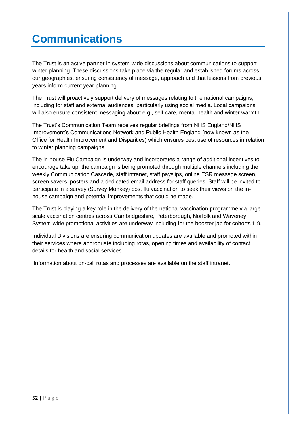## **Communications**

The Trust is an active partner in system-wide discussions about communications to support winter planning. These discussions take place via the regular and established forums across our geographies, ensuring consistency of message, approach and that lessons from previous years inform current year planning.

The Trust will proactively support delivery of messages relating to the national campaigns, including for staff and external audiences, particularly using social media. Local campaigns will also ensure consistent messaging about e.g., self-care, mental health and winter warmth.

The Trust's Communication Team receives regular briefings from NHS England/NHS Improvement's Communications Network and Public Health England (now known as the Office for Health Improvement and Disparities) which ensures best use of resources in relation to winter planning campaigns.

The in-house Flu Campaign is underway and incorporates a range of additional incentives to encourage take up; the campaign is being promoted through multiple channels including the weekly Communication Cascade, staff intranet, staff payslips, online ESR message screen, screen savers, posters and a dedicated email address for staff queries. Staff will be invited to participate in a survey (Survey Monkey) post flu vaccination to seek their views on the inhouse campaign and potential improvements that could be made.

The Trust is playing a key role in the delivery of the national vaccination programme via large scale vaccination centres across Cambridgeshire, Peterborough, Norfolk and Waveney. System-wide promotional activities are underway including for the booster jab for cohorts 1-9.

Individual Divisions are ensuring communication updates are available and promoted within their services where appropriate including rotas, opening times and availability of contact details for health and social services.

Information about on-call rotas and processes are available on the staff intranet.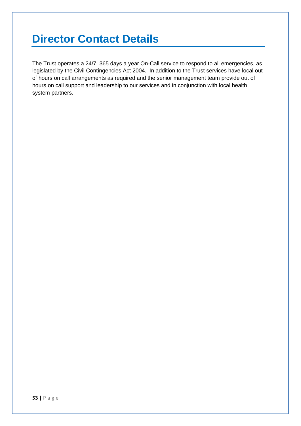## **Director Contact Details**

The Trust operates a 24/7, 365 days a year On-Call service to respond to all emergencies, as legislated by the Civil Contingencies Act 2004. In addition to the Trust services have local out of hours on call arrangements as required and the senior management team provide out of hours on call support and leadership to our services and in conjunction with local health system partners.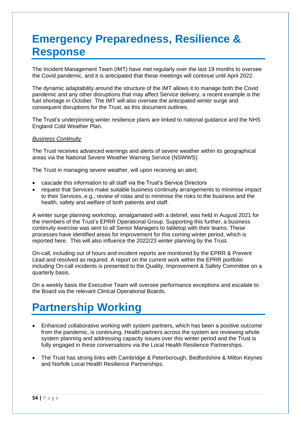## **Emergency Preparedness, Resilience & Response**

The Incident Management Team (IMT) have met regularly over the last 19 months to oversee the Covid pandemic, and it is anticipated that these meetings will continue until April 2022.

The dynamic adaptability around the structure of the IMT allows it to manage both the Covid pandemic and any other disruptions that may affect Service delivery, a recent example is the fuel shortage in October. The IMT will also oversee the anticipated winter surge and consequent disruptions for the Trust, as this document outlines.

The Trust's underpinning winter resilience plans are linked to national guidance and the NHS England Cold Weather Plan.

#### *Business Continuity*

The Trust receives advanced warnings and alerts of severe weather within its geographical areas via the National Severe Weather Warning Service (NSWWS).

The Trust in managing severe weather, will upon receiving an alert;

- cascade this information to all staff via the Trust's Service Directors
- request that Services make suitable business continuity arrangements to minimise impact to their Services, e.g., review of rotas and to minimise the risks to the business and the health, safety and welfare of both patients and staff.

A winter surge planning workshop, amalgamated with a debrief, was held in August 2021 for the members of the Trust's EPRR Operational Group. Supporting this further, a business continuity exercise was sent to all Senior Managers to tabletop with their teams. These processes have identified areas for improvement for this coming winter period, which is reported here. This will also influence the 2022/23 winter planning by the Trust.

On-call, including out of hours and incident reports are monitored by the EPRR & Prevent Lead and resolved as required. A report on the current work within the EPRR portfolio including On-call incidents is presented to the Quality, Improvement & Safety Committee on a quarterly basis.

On a weekly basis the Executive Team will oversee performance exceptions and escalate to the Board via the relevant Clinical Operational Boards.

## **Partnership Working**

- Enhanced collaborative working with system partners, which has been a positive outcome from the pandemic, is continuing. Health partners across the system are reviewing whole system planning and addressing capacity issues over this winter period and the Trust is fully engaged in these conversations via the Local Health Resilience Partnerships.
- The Trust has strong links with Cambridge & Peterborough, Bedfordshire & Milton Keynes and Norfolk Local Health Resilience Partnerships.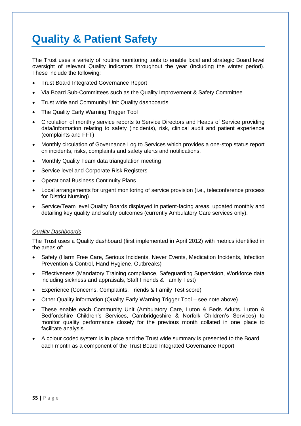## **Quality & Patient Safety**

The Trust uses a variety of routine monitoring tools to enable local and strategic Board level oversight of relevant Quality indicators throughout the year (including the winter period). These include the following:

- Trust Board Integrated Governance Report
- Via Board Sub-Committees such as the Quality Improvement & Safety Committee
- Trust wide and Community Unit Quality dashboards
- The Quality Early Warning Trigger Tool
- Circulation of monthly service reports to Service Directors and Heads of Service providing data/information relating to safety (incidents), risk, clinical audit and patient experience (complaints and FFT)
- Monthly circulation of Governance Log to Services which provides a one-stop status report on incidents, risks, complaints and safety alerts and notifications.
- Monthly Quality Team data triangulation meeting
- Service level and Corporate Risk Registers
- Operational Business Continuity Plans
- Local arrangements for urgent monitoring of service provision (i.e., teleconference process for District Nursing)
- Service/Team level Quality Boards displayed in patient-facing areas, updated monthly and detailing key quality and safety outcomes (currently Ambulatory Care services only).

#### *Quality Dashboards*

The Trust uses a Quality dashboard (first implemented in April 2012) with metrics identified in the areas of:

- Safety (Harm Free Care, Serious Incidents, Never Events, Medication Incidents, Infection Prevention & Control, Hand Hygiene, Outbreaks)
- Effectiveness (Mandatory Training compliance, Safeguarding Supervision, Workforce data including sickness and appraisals, Staff Friends & Family Test)
- Experience (Concerns, Complaints, Friends & Family Test score)
- Other Quality information (Quality Early Warning Trigger Tool see note above)
- These enable each Community Unit (Ambulatory Care, Luton & Beds Adults. Luton & Bedfordshire Children's Services, Cambridgeshire & Norfolk Children's Services) to monitor quality performance closely for the previous month collated in one place to facilitate analysis.
- A colour coded system is in place and the Trust wide summary is presented to the Board each month as a component of the Trust Board Integrated Governance Report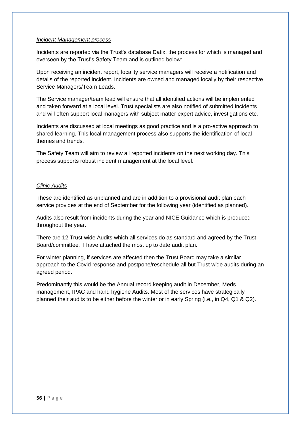#### *Incident Management process*

Incidents are reported via the Trust's database Datix, the process for which is managed and overseen by the Trust's Safety Team and is outlined below:

Upon receiving an incident report, locality service managers will receive a notification and details of the reported incident. Incidents are owned and managed locally by their respective Service Managers/Team Leads.

The Service manager/team lead will ensure that all identified actions will be implemented and taken forward at a local level. Trust specialists are also notified of submitted incidents and will often support local managers with subject matter expert advice, investigations etc.

Incidents are discussed at local meetings as good practice and is a pro-active approach to shared learning. This local management process also supports the identification of local themes and trends.

The Safety Team will aim to review all reported incidents on the next working day. This process supports robust incident management at the local level.

#### *Clinic Audits*

These are identified as unplanned and are in addition to a provisional audit plan each service provides at the end of September for the following year (identified as planned).

Audits also result from incidents during the year and NICE Guidance which is produced throughout the year.

There are 12 Trust wide Audits which all services do as standard and agreed by the Trust Board/committee. I have attached the most up to date audit plan.

For winter planning, if services are affected then the Trust Board may take a similar approach to the Covid response and postpone/reschedule all but Trust wide audits during an agreed period.

Predominantly this would be the Annual record keeping audit in December, Meds management, IPAC and hand hygiene Audits. Most of the services have strategically planned their audits to be either before the winter or in early Spring (i.e., in Q4, Q1 & Q2).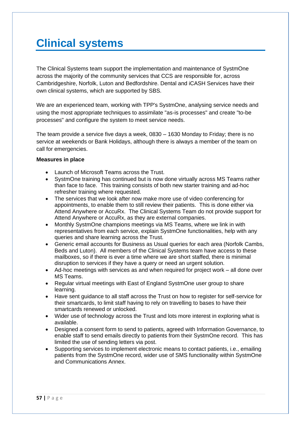## **Clinical systems**

The Clinical Systems team support the implementation and maintenance of SystmOne across the majority of the community services that CCS are responsible for, across Cambridgeshire, Norfolk, Luton and Bedfordshire. Dental and iCASH Services have their own clinical systems, which are supported by SBS.

We are an experienced team, working with TPP's SystmOne, analysing service needs and using the most appropriate techniques to assimilate "as-is processes" and create "to-be processes" and configure the system to meet service needs.

The team provide a service five days a week, 0830 – 1630 Monday to Friday; there is no service at weekends or Bank Holidays, although there is always a member of the team on call for emergencies.

#### **Measures in place**

- Launch of Microsoft Teams across the Trust.
- SystmOne training has continued but is now done virtually across MS Teams rather than face to face. This training consists of both new starter training and ad-hoc refresher training where requested.
- The services that we look after now make more use of video conferencing for appointments, to enable them to still review their patients. This is done either via Attend Anywhere or AccuRx. The Clinical Systems Team do not provide support for Attend Anywhere or AccuRx, as they are external companies.
- Monthly SystmOne champions meetings via MS Teams, where we link in with representatives from each service, explain SystmOne functionalities, help with any queries and share learning across the Trust.
- Generic email accounts for Business as Usual queries for each area (Norfolk Cambs, Beds and Luton). All members of the Clinical Systems team have access to these mailboxes, so if there is ever a time where we are short staffed, there is minimal disruption to services if they have a query or need an urgent solution.
- Ad-hoc meetings with services as and when required for project work all done over MS Teams.
- Regular virtual meetings with East of England SystmOne user group to share learning.
- Have sent quidance to all staff across the Trust on how to register for self-service for their smartcards, to limit staff having to rely on travelling to bases to have their smartcards renewed or unlocked.
- Wider use of technology across the Trust and lots more interest in exploring what is available.
- Designed a consent form to send to patients, agreed with Information Governance, to enable staff to send emails directly to patients from their SystmOne record. This has limited the use of sending letters via post.
- Supporting services to implement electronic means to contact patients, i.e., emailing patients from the SystmOne record, wider use of SMS functionality within SystmOne and Communications Annex.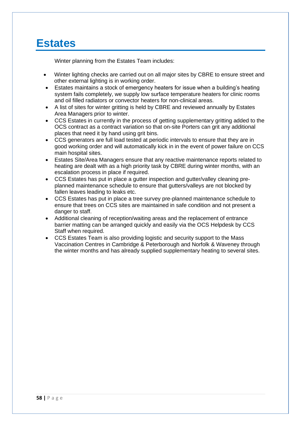### **Estates**

Winter planning from the Estates Team includes:

- Winter lighting checks are carried out on all major sites by CBRE to ensure street and other external lighting is in working order.
- Estates maintains a stock of emergency heaters for issue when a building's heating system fails completely, we supply low surface temperature heaters for clinic rooms and oil filled radiators or convector heaters for non-clinical areas.
- A list of sites for winter gritting is held by CBRE and reviewed annually by Estates Area Managers prior to winter.
- CCS Estates in currently in the process of getting supplementary gritting added to the OCS contract as a contract variation so that on-site Porters can grit any additional places that need it by hand using grit bins.
- CCS generators are full load tested at periodic intervals to ensure that they are in good working order and will automatically kick in in the event of power failure on CCS main hospital sites.
- Estates Site/Area Managers ensure that any reactive maintenance reports related to heating are dealt with as a high priority task by CBRE during winter months, with an escalation process in place if required.
- CCS Estates has put in place a gutter inspection and gutter/valley cleaning preplanned maintenance schedule to ensure that gutters/valleys are not blocked by fallen leaves leading to leaks etc.
- CCS Estates has put in place a tree survey pre-planned maintenance schedule to ensure that trees on CCS sites are maintained in safe condition and not present a danger to staff.
- Additional cleaning of reception/waiting areas and the replacement of entrance barrier matting can be arranged quickly and easily via the OCS Helpdesk by CCS Staff when required.
- CCS Estates Team is also providing logistic and security support to the Mass Vaccination Centres in Cambridge & Peterborough and Norfolk & Waveney through the winter months and has already supplied supplementary heating to several sites.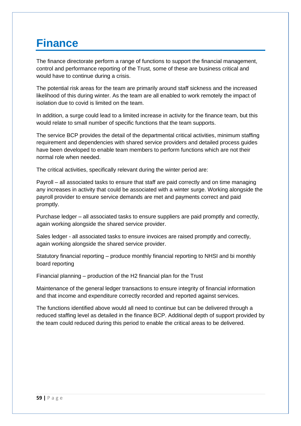### **Finance**

The finance directorate perform a range of functions to support the financial management, control and performance reporting of the Trust, some of these are business critical and would have to continue during a crisis.

The potential risk areas for the team are primarily around staff sickness and the increased likelihood of this during winter. As the team are all enabled to work remotely the impact of isolation due to covid is limited on the team.

In addition, a surge could lead to a limited increase in activity for the finance team, but this would relate to small number of specific functions that the team supports.

The service BCP provides the detail of the departmental critical activities, minimum staffing requirement and dependencies with shared service providers and detailed process guides have been developed to enable team members to perform functions which are not their normal role when needed.

The critical activities, specifically relevant during the winter period are:

Payroll – all associated tasks to ensure that staff are paid correctly and on time managing any increases in activity that could be associated with a winter surge. Working alongside the payroll provider to ensure service demands are met and payments correct and paid promptly.

Purchase ledger – all associated tasks to ensure suppliers are paid promptly and correctly, again working alongside the shared service provider.

Sales ledger - all associated tasks to ensure invoices are raised promptly and correctly, again working alongside the shared service provider.

Statutory financial reporting – produce monthly financial reporting to NHSI and bi monthly board reporting

Financial planning – production of the H2 financial plan for the Trust

Maintenance of the general ledger transactions to ensure integrity of financial information and that income and expenditure correctly recorded and reported against services.

The functions identified above would all need to continue but can be delivered through a reduced staffing level as detailed in the finance BCP. Additional depth of support provided by the team could reduced during this period to enable the critical areas to be delivered.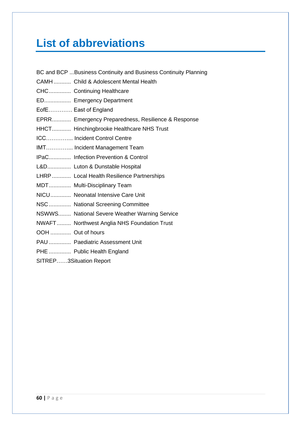## **List of abbreviations**

| BC and BCP Business Continuity and Business Continuity Planning |
|-----------------------------------------------------------------|
| CAMH Child & Adolescent Mental Health                           |
| CHC Continuing Healthcare                                       |
| ED Emergency Department                                         |
| EofE East of England                                            |
| EPRR Emergency Preparedness, Resilience & Response              |
| HHCT Hinchingbrooke Healthcare NHS Trust                        |
| ICC Incident Control Centre                                     |
| IMT Incident Management Team                                    |
| IPaC Infection Prevention & Control                             |
| L&D Luton & Dunstable Hospital                                  |
| LHRP Local Health Resilience Partnerships                       |
| MDT Multi-Disciplinary Team                                     |
| NICU Neonatal Intensive Care Unit                               |
| NSC National Screening Committee                                |
| NSWWS National Severe Weather Warning Service                   |
| NWAFT Northwest Anglia NHS Foundation Trust                     |
| OOH  Out of hours                                               |
| PAU  Paediatric Assessment Unit                                 |
| PHE  Public Health England                                      |

SITREP……3Situation Report